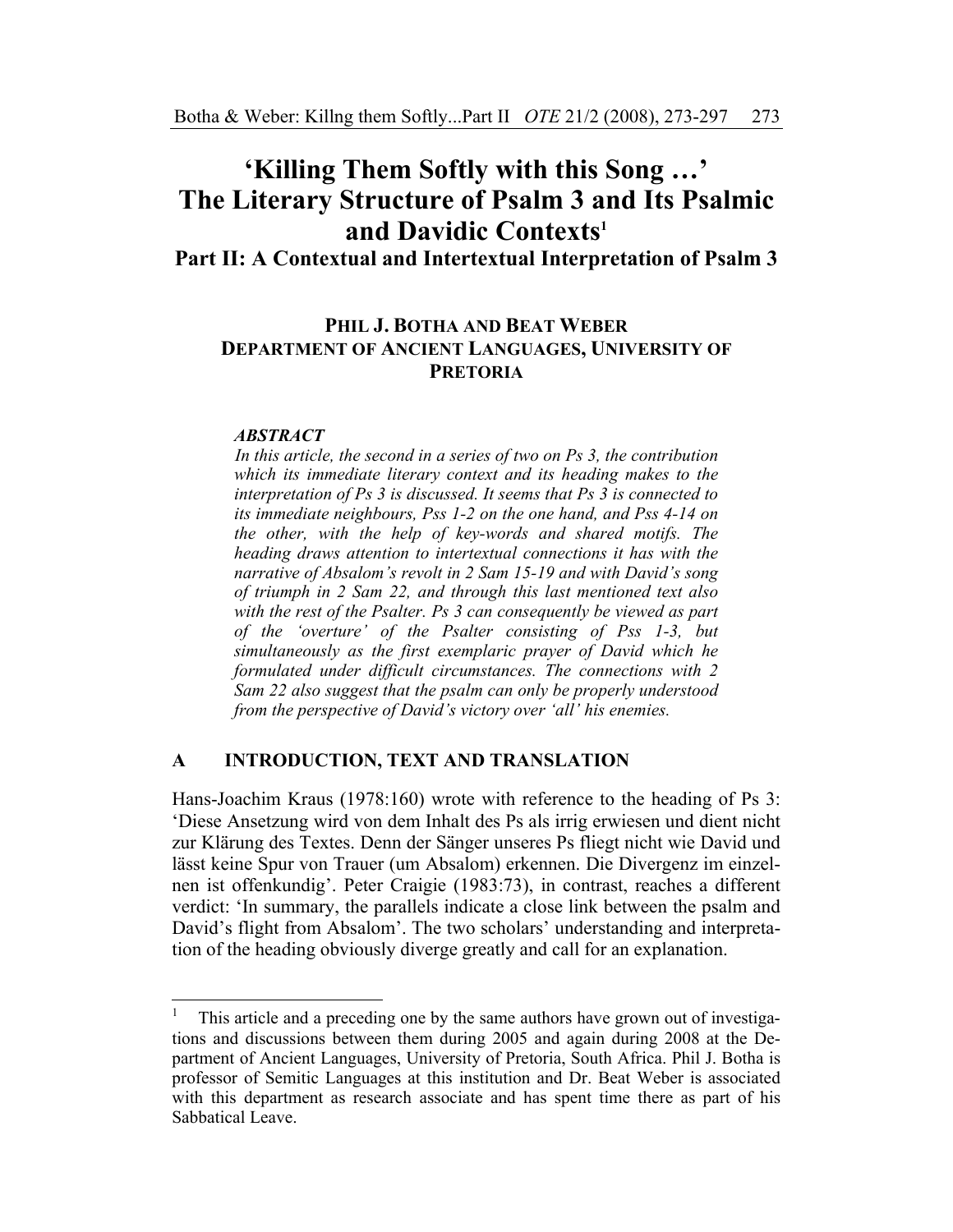# **'Killing Them Softly with this Song …' The Literary Structure of Psalm 3 and Its Psalmic and Davidic Contexts1**

**Part II: A Contextual and Intertextual Interpretation of Psalm 3** 

# **PHIL J. BOTHA AND BEAT WEBER DEPARTMENT OF ANCIENT LANGUAGES, UNIVERSITY OF PRETORIA**

### *ABSTRACT*

*In this article, the second in a series of two on Ps 3, the contribution which its immediate literary context and its heading makes to the interpretation of Ps 3 is discussed. It seems that Ps 3 is connected to its immediate neighbours, Pss 1-2 on the one hand, and Pss 4-14 on the other, with the help of key-words and shared motifs. The heading draws attention to intertextual connections it has with the narrative of Absalom's revolt in 2 Sam 15-19 and with David's song of triumph in 2 Sam 22, and through this last mentioned text also with the rest of the Psalter. Ps 3 can consequently be viewed as part of the 'overture' of the Psalter consisting of Pss 1-3, but simultaneously as the first exemplaric prayer of David which he formulated under difficult circumstances. The connections with 2 Sam 22 also suggest that the psalm can only be properly understood from the perspective of David's victory over 'all' his enemies.* 

### **A INTRODUCTION, TEXT AND TRANSLATION**

Hans-Joachim Kraus (1978:160) wrote with reference to the heading of Ps 3: 'Diese Ansetzung wird von dem Inhalt des Ps als irrig erwiesen und dient nicht zur Klärung des Textes. Denn der Sänger unseres Ps fliegt nicht wie David und lässt keine Spur von Trauer (um Absalom) erkennen. Die Divergenz im einzelnen ist offenkundig'. Peter Craigie (1983:73), in contrast, reaches a different verdict: 'In summary, the parallels indicate a close link between the psalm and David's flight from Absalom'. The two scholars' understanding and interpretation of the heading obviously diverge greatly and call for an explanation.

 $\frac{1}{1}$  This article and a preceding one by the same authors have grown out of investigations and discussions between them during 2005 and again during 2008 at the Department of Ancient Languages, University of Pretoria, South Africa. Phil J. Botha is professor of Semitic Languages at this institution and Dr. Beat Weber is associated with this department as research associate and has spent time there as part of his Sabbatical Leave.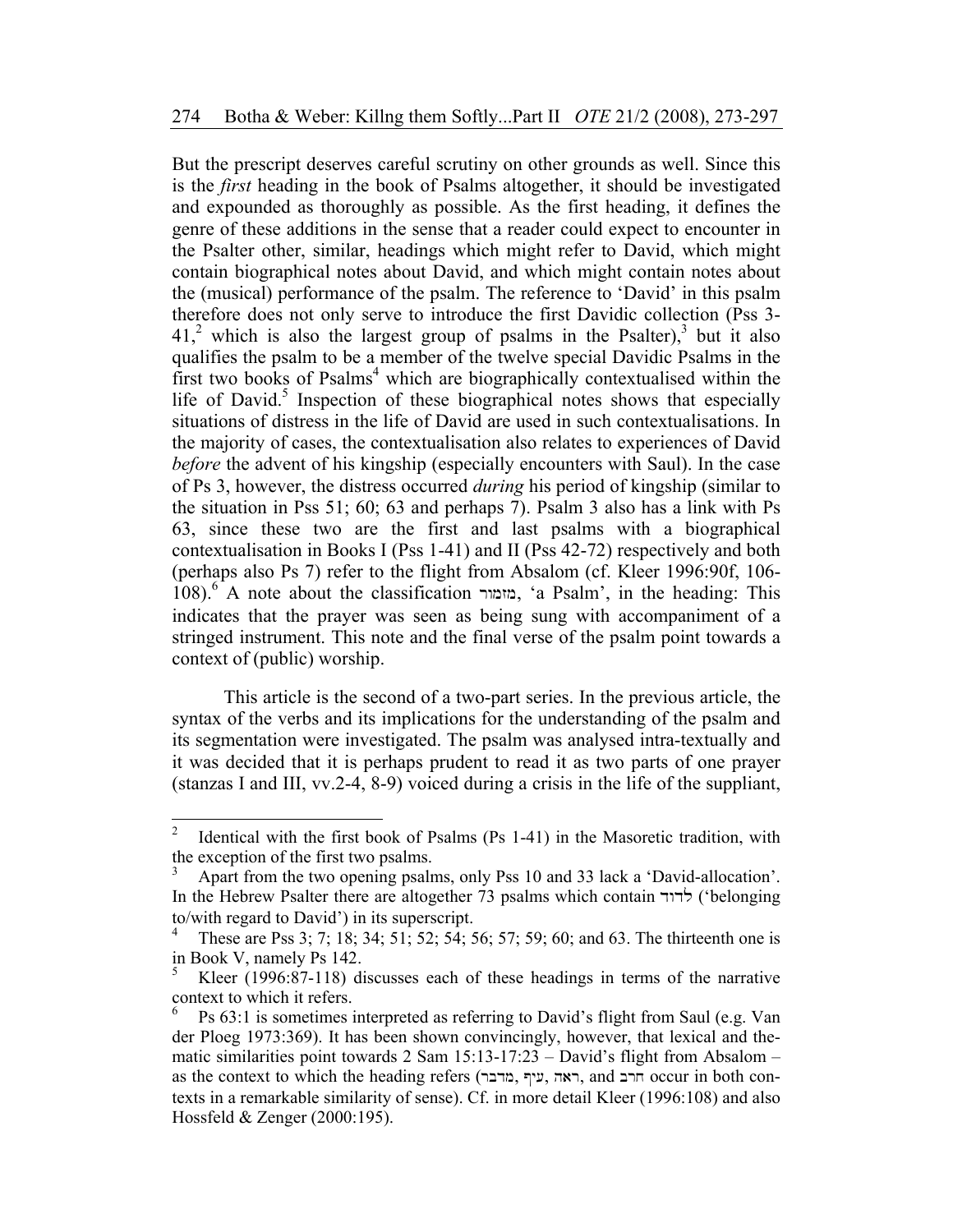But the prescript deserves careful scrutiny on other grounds as well. Since this is the *first* heading in the book of Psalms altogether, it should be investigated and expounded as thoroughly as possible. As the first heading, it defines the genre of these additions in the sense that a reader could expect to encounter in the Psalter other, similar, headings which might refer to David, which might contain biographical notes about David, and which might contain notes about the (musical) performance of the psalm. The reference to 'David' in this psalm therefore does not only serve to introduce the first Davidic collection (Pss 3-  $41<sup>2</sup>$  which is also the largest group of psalms in the Psalter),<sup>3</sup> but it also qualifies the psalm to be a member of the twelve special Davidic Psalms in the first two books of Psalms<sup>4</sup> which are biographically contextualised within the life of David.<sup>5</sup> Inspection of these biographical notes shows that especially situations of distress in the life of David are used in such contextualisations. In the majority of cases, the contextualisation also relates to experiences of David *before* the advent of his kingship (especially encounters with Saul). In the case of Ps 3, however, the distress occurred *during* his period of kingship (similar to the situation in Pss 51; 60; 63 and perhaps 7). Psalm 3 also has a link with Ps 63, since these two are the first and last psalms with a biographical contextualisation in Books I (Pss 1-41) and II (Pss 42-72) respectively and both (perhaps also Ps 7) refer to the flight from Absalom (cf. Kleer 1996:90f, 106- 108).<sup>6</sup> A note about the classification rwmzm, 'a Psalm', in the heading: This indicates that the prayer was seen as being sung with accompaniment of a stringed instrument. This note and the final verse of the psalm point towards a context of (public) worship.

This article is the second of a two-part series. In the previous article, the syntax of the verbs and its implications for the understanding of the psalm and its segmentation were investigated. The psalm was analysed intra-textually and it was decided that it is perhaps prudent to read it as two parts of one prayer (stanzas I and III, vv.2-4, 8-9) voiced during a crisis in the life of the suppliant,

 $\frac{1}{2}$  Identical with the first book of Psalms (Ps 1-41) in the Masoretic tradition, with the exception of the first two psalms.

<sup>3</sup> Apart from the two opening psalms, only Pss 10 and 33 lack a 'David-allocation'. In the Hebrew Psalter there are altogether 73 psalms which contain  $\forall$ ורד ('belonging to/with regard to David') in its superscript.

<sup>4</sup> These are Pss 3; 7; 18; 34; 51; 52; 54; 56; 57; 59; 60; and 63. The thirteenth one is in Book V, namely Ps 142.

<sup>5</sup> Kleer (1996:87-118) discusses each of these headings in terms of the narrative context to which it refers.

<sup>6</sup> Ps 63:1 is sometimes interpreted as referring to David's flight from Saul (e.g. Van der Ploeg 1973:369). It has been shown convincingly, however, that lexical and thematic similarities point towards 2 Sam 15:13-17:23 – David's flight from Absalom – as the context to which the heading refers (ראה, עיף, מודבר, and הרב occur in both contexts in a remarkable similarity of sense). Cf. in more detail Kleer (1996:108) and also Hossfeld & Zenger (2000:195).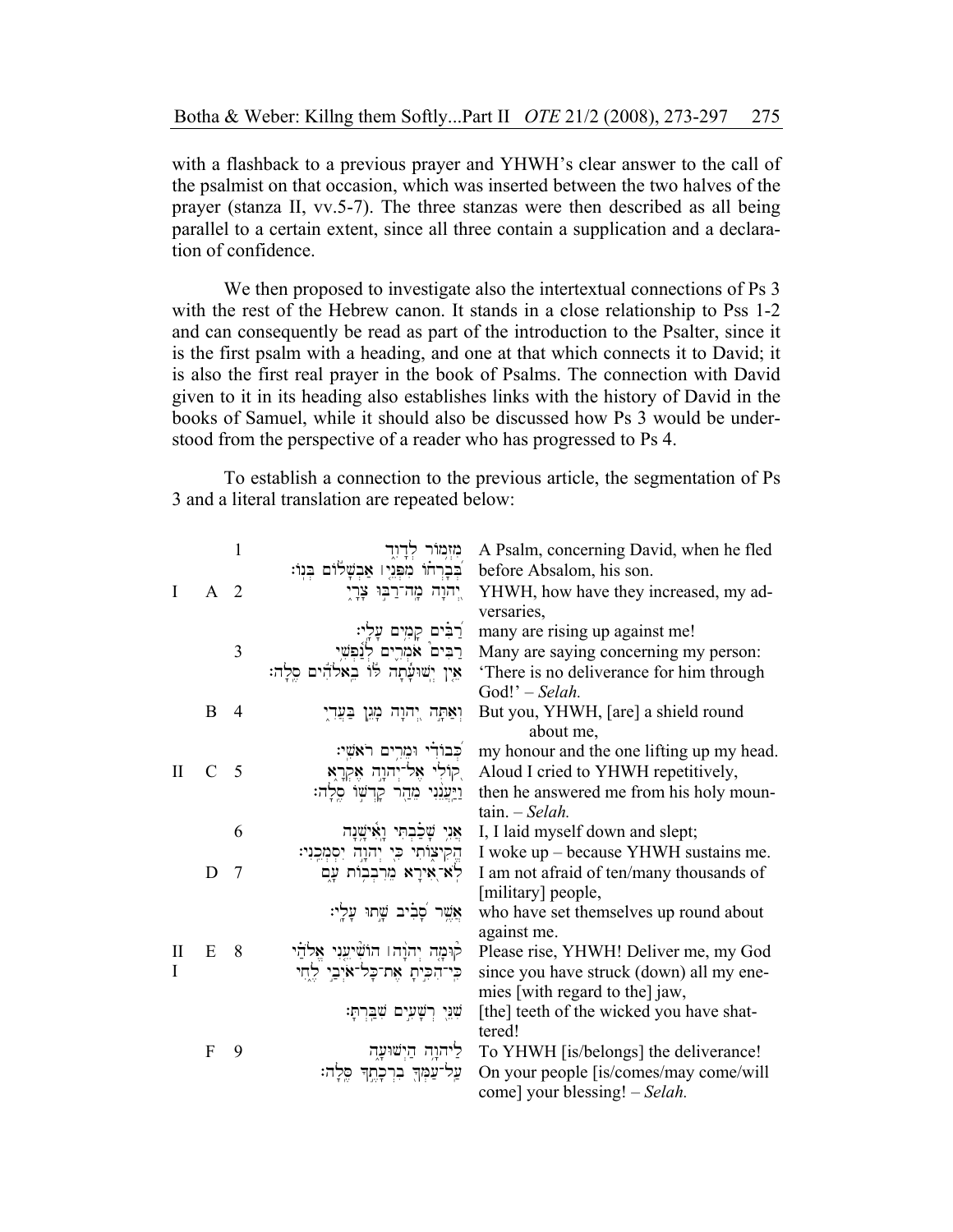with a flashback to a previous prayer and YHWH's clear answer to the call of the psalmist on that occasion, which was inserted between the two halves of the prayer (stanza II, vv.5-7). The three stanzas were then described as all being parallel to a certain extent, since all three contain a supplication and a declaration of confidence.

We then proposed to investigate also the intertextual connections of Ps 3 with the rest of the Hebrew canon. It stands in a close relationship to Pss 1-2 and can consequently be read as part of the introduction to the Psalter, since it is the first psalm with a heading, and one at that which connects it to David; it is also the first real prayer in the book of Psalms. The connection with David given to it in its heading also establishes links with the history of David in the books of Samuel, while it should also be discussed how Ps 3 would be understood from the perspective of a reader who has progressed to Ps 4.

 To establish a connection to the previous article, the segmentation of Ps 3 and a literal translation are repeated below:

|              |                | $\mathbf{1}$   | מִזְמַוֹּר                              | A Psalm, concerning David, when he fled   |
|--------------|----------------|----------------|-----------------------------------------|-------------------------------------------|
|              |                |                | בברחו מפניו אבשלום בנו:                 | before Absalom, his son.                  |
| T            | A <sub>2</sub> |                | יֲהוָה מֱה־רַבּוּ צָרָיָ                | YHWH, how have they increased, my ad-     |
|              |                |                |                                         | versaries,                                |
|              |                |                | ַרְבִּים קָמְיִם עָלְיִ:                | many are rising up against me!            |
|              |                | 3              | רֲבִים אמְרֶים לְנַׁפְּשִׁי             | Many are saying concerning my person:     |
|              |                |                | אֵין יִשׁוּעָתָה לוֹ בֵאלהִים סֵלַה:    | There is no deliverance for him through   |
|              |                |                |                                         | God!' - Selah.                            |
|              | B              | $\overline{4}$ | וְאַתְה יְהוָה מְגֵן בַּעֲדְיָ          | But you, YHWH, [are] a shield round       |
|              |                |                |                                         | about me,                                 |
|              |                |                | כבודי ומרים ראשי:                       | my honour and the one lifting up my head. |
| $\mathbf{I}$ | $\mathcal{C}$  | $\overline{5}$ | קוֹלִי אֶל־יְהוָהָ אֶקְרָאָ,            | Aloud I cried to YHWH repetitively,       |
|              |                |                | וַיַּעֲגִּנִי מֵהַר קַדְשִׁוֹ סֵלַה:    | then he answered me from his holy moun-   |
|              |                |                |                                         | $tain. - Selah.$                          |
|              |                | 6              | אֵנִי שָׁכַבְתִּי וַאִּישֲׁנָה          | I, I laid myself down and slept;          |
|              |                |                | הֱקִיצִוֹתִי כִּי יְהוָהָ יִסְמְּכֵנִי: | I woke up – because YHWH sustains me.     |
|              | D              | $\overline{7}$ | לא־אירא מרבבות עם                       | I am not afraid of ten/many thousands of  |
|              |                |                |                                         | [military] people,                        |
|              |                |                | אֲשֶׁר פָׁבִיב שֶׁתוּ עָלָי:            | who have set themselves up round about    |
|              |                |                |                                         | against me.                               |
| H            | E              | - 8            | קוּמָה יְהוָהו הוֹשִׁיַעֵּנִי אֱלֹהַי   | Please rise, YHWH! Deliver me, my God     |
| L            |                |                | כִּי־הִכִּיתָ אֵת־כָּל־אֹיִבֵי לֵחֵי    | since you have struck (down) all my ene-  |
|              |                |                |                                         | mies [with regard to the] jaw,            |
|              |                |                | שִׁנֵּיָ רְשָׁעִיָם שַׁבְרְתָּ:         | [the] teeth of the wicked you have shat-  |
|              |                |                |                                         | tered!                                    |
|              | $\mathbf{F}$   | 9              | ליהוָה הַיִשׁוּעָה                      | To YHWH [is/belongs] the deliverance!     |
|              |                |                | עֲל־עֲמִךְ בִרְכַוֵתַךְ סֵלַה:          | On your people [is/comes/may come/will    |
|              |                |                |                                         | come] your blessing! – Selah.             |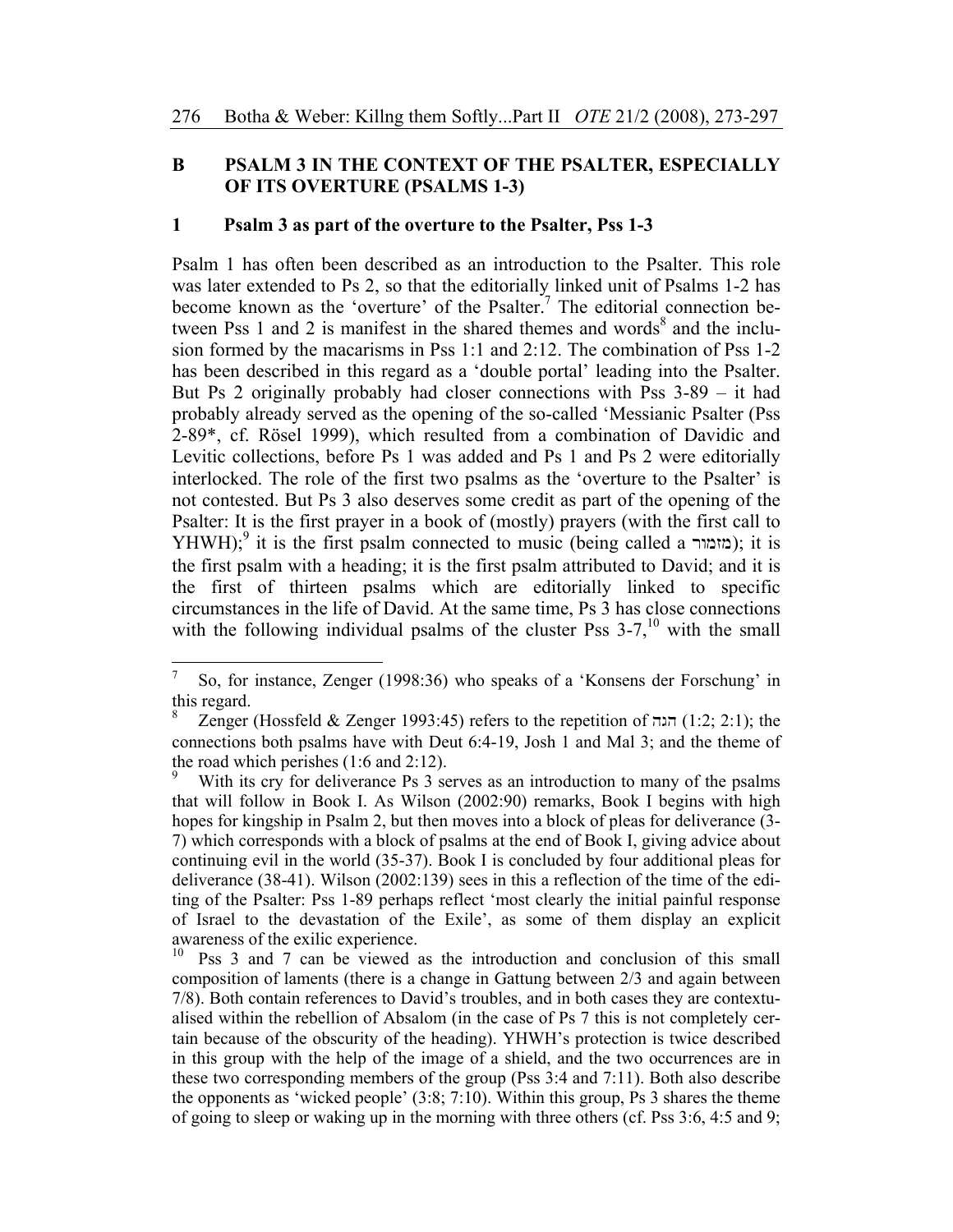## **B PSALM 3 IN THE CONTEXT OF THE PSALTER, ESPECIALLY OF ITS OVERTURE (PSALMS 1-3)**

### **1 Psalm 3 as part of the overture to the Psalter, Pss 1-3**

Psalm 1 has often been described as an introduction to the Psalter. This role was later extended to Ps 2, so that the editorially linked unit of Psalms 1-2 has become known as the 'overture' of the Psalter.<sup>7</sup> The editorial connection between Pss 1 and 2 is manifest in the shared themes and words<sup>8</sup> and the inclusion formed by the macarisms in Pss 1:1 and 2:12. The combination of Pss 1-2 has been described in this regard as a 'double portal' leading into the Psalter. But Ps 2 originally probably had closer connections with Pss 3-89 – it had probably already served as the opening of the so-called 'Messianic Psalter (Pss 2-89\*, cf. Rösel 1999), which resulted from a combination of Davidic and Levitic collections, before Ps 1 was added and Ps 1 and Ps 2 were editorially interlocked. The role of the first two psalms as the 'overture to the Psalter' is not contested. But Ps 3 also deserves some credit as part of the opening of the Psalter: It is the first prayer in a book of (mostly) prayers (with the first call to YHWH);<sup>9</sup> it is the first psalm connected to music (being called a  $\sim$ ); it is the first psalm with a heading; it is the first psalm attributed to David; and it is the first of thirteen psalms which are editorially linked to specific circumstances in the life of David. At the same time, Ps 3 has close connections with the following individual psalms of the cluster Pss  $3-7$ ,<sup>10</sup> with the small

<sup>7</sup>  So, for instance, Zenger (1998:36) who speaks of a 'Konsens der Forschung' in this regard.

<sup>8</sup> Zenger (Hossfeld & Zenger 1993:45) refers to the repetition of  $(1:2; 2:1)$ ; the connections both psalms have with Deut 6:4-19, Josh 1 and Mal 3; and the theme of the road which perishes (1:6 and 2:12).

<sup>9</sup> With its cry for deliverance Ps 3 serves as an introduction to many of the psalms that will follow in Book I. As Wilson (2002:90) remarks, Book I begins with high hopes for kingship in Psalm 2, but then moves into a block of pleas for deliverance (3- 7) which corresponds with a block of psalms at the end of Book I, giving advice about continuing evil in the world (35-37). Book I is concluded by four additional pleas for deliverance (38-41). Wilson (2002:139) sees in this a reflection of the time of the editing of the Psalter: Pss 1-89 perhaps reflect 'most clearly the initial painful response of Israel to the devastation of the Exile', as some of them display an explicit awareness of the exilic experience.

<sup>&</sup>lt;sup>10</sup> Pss 3 and 7 can be viewed as the introduction and conclusion of this small composition of laments (there is a change in Gattung between 2/3 and again between 7/8). Both contain references to David's troubles, and in both cases they are contextualised within the rebellion of Absalom (in the case of Ps 7 this is not completely certain because of the obscurity of the heading). YHWH's protection is twice described in this group with the help of the image of a shield, and the two occurrences are in these two corresponding members of the group (Pss 3:4 and 7:11). Both also describe the opponents as 'wicked people' (3:8; 7:10). Within this group, Ps 3 shares the theme of going to sleep or waking up in the morning with three others (cf. Pss 3:6, 4:5 and 9;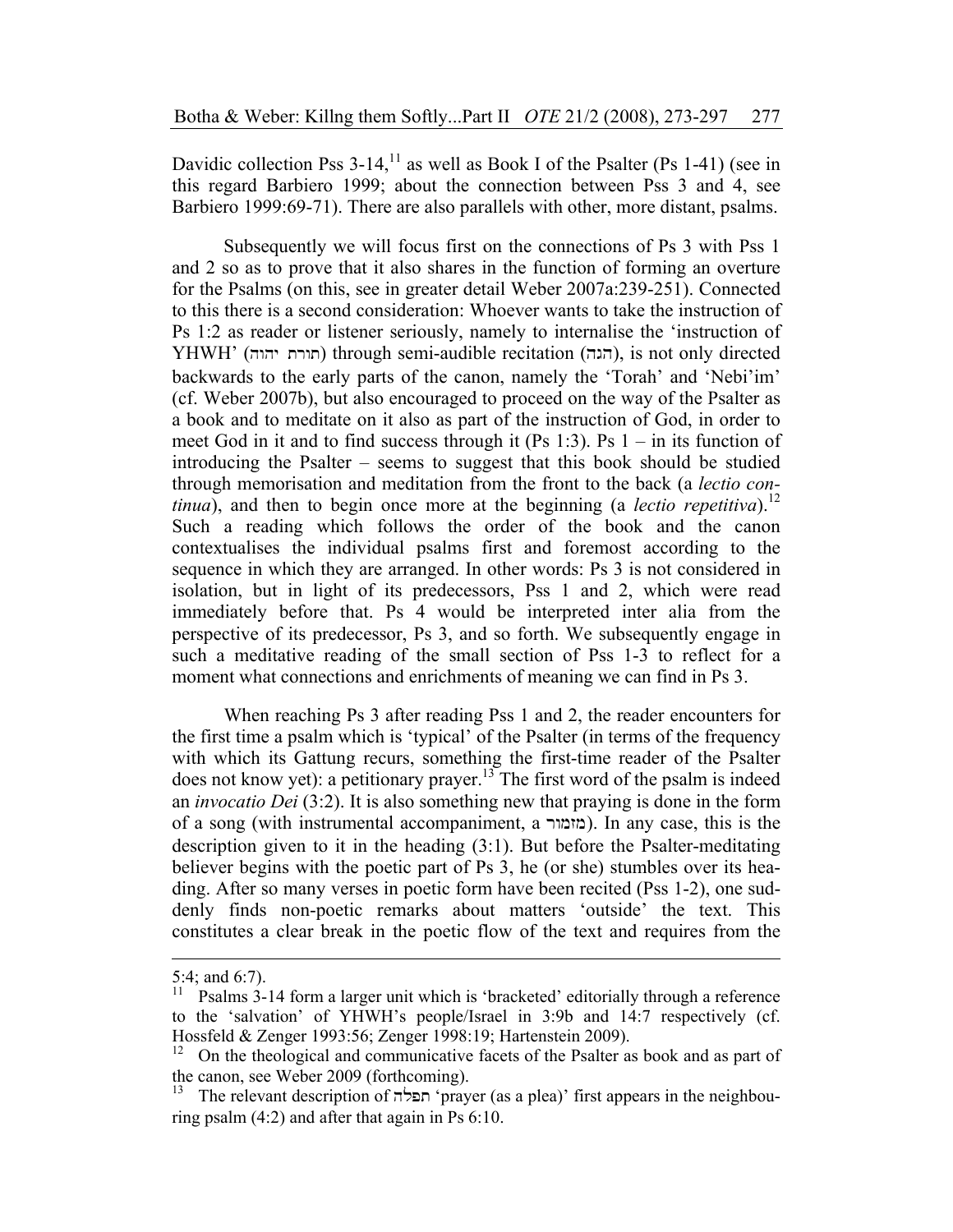Davidic collection Pss  $3-14$ ,<sup> $11$ </sup> as well as Book I of the Psalter (Ps 1-41) (see in this regard Barbiero 1999; about the connection between Pss 3 and 4, see Barbiero 1999:69-71). There are also parallels with other, more distant, psalms.

Subsequently we will focus first on the connections of Ps 3 with Pss 1 and 2 so as to prove that it also shares in the function of forming an overture for the Psalms (on this, see in greater detail Weber 2007a:239-251). Connected to this there is a second consideration: Whoever wants to take the instruction of Ps 1:2 as reader or listener seriously, namely to internalise the 'instruction of YHWH' (חורת יהוה) through semi-audible recitation (הגה), is not only directed backwards to the early parts of the canon, namely the 'Torah' and 'Nebi'im' (cf. Weber 2007b), but also encouraged to proceed on the way of the Psalter as a book and to meditate on it also as part of the instruction of God, in order to meet God in it and to find success through it (Ps 1:3). Ps  $1 - in$  its function of introducing the Psalter – seems to suggest that this book should be studied through memorisation and meditation from the front to the back (a *lectio continua*), and then to begin once more at the beginning (a *lectio repetitiva*).<sup>12</sup> Such a reading which follows the order of the book and the canon contextualises the individual psalms first and foremost according to the sequence in which they are arranged. In other words: Ps 3 is not considered in isolation, but in light of its predecessors, Pss 1 and 2, which were read immediately before that. Ps 4 would be interpreted inter alia from the perspective of its predecessor, Ps 3, and so forth. We subsequently engage in such a meditative reading of the small section of Pss 1-3 to reflect for a moment what connections and enrichments of meaning we can find in Ps 3.

When reaching Ps 3 after reading Pss 1 and 2, the reader encounters for the first time a psalm which is 'typical' of the Psalter (in terms of the frequency with which its Gattung recurs, something the first-time reader of the Psalter does not know yet): a petitionary prayer.<sup>13</sup> The first word of the psalm is indeed an *invocatio Dei* (3:2). It is also something new that praying is done in the form of a song (with instrumental accompaniment, a rwmzm). In any case, this is the description given to it in the heading (3:1). But before the Psalter-meditating believer begins with the poetic part of Ps 3, he (or she) stumbles over its heading. After so many verses in poetic form have been recited (Pss 1-2), one suddenly finds non-poetic remarks about matters 'outside' the text. This constitutes a clear break in the poetic flow of the text and requires from the

-

<sup>5:4;</sup> and 6:7).<br> $^{11}$  Psalms 3.

<sup>11</sup> Psalms 3-14 form a larger unit which is 'bracketed' editorially through a reference to the 'salvation' of YHWH's people/Israel in 3:9b and 14:7 respectively (cf. Hossfeld & Zenger 1993:56; Zenger 1998:19; Hartenstein 2009).

<sup>12</sup> On the theological and communicative facets of the Psalter as book and as part of the canon, see Weber 2009 (forthcoming).

<sup>13</sup> The relevant description of תפלה 'prayer (as a plea)' first appears in the neighbouring psalm (4:2) and after that again in Ps 6:10.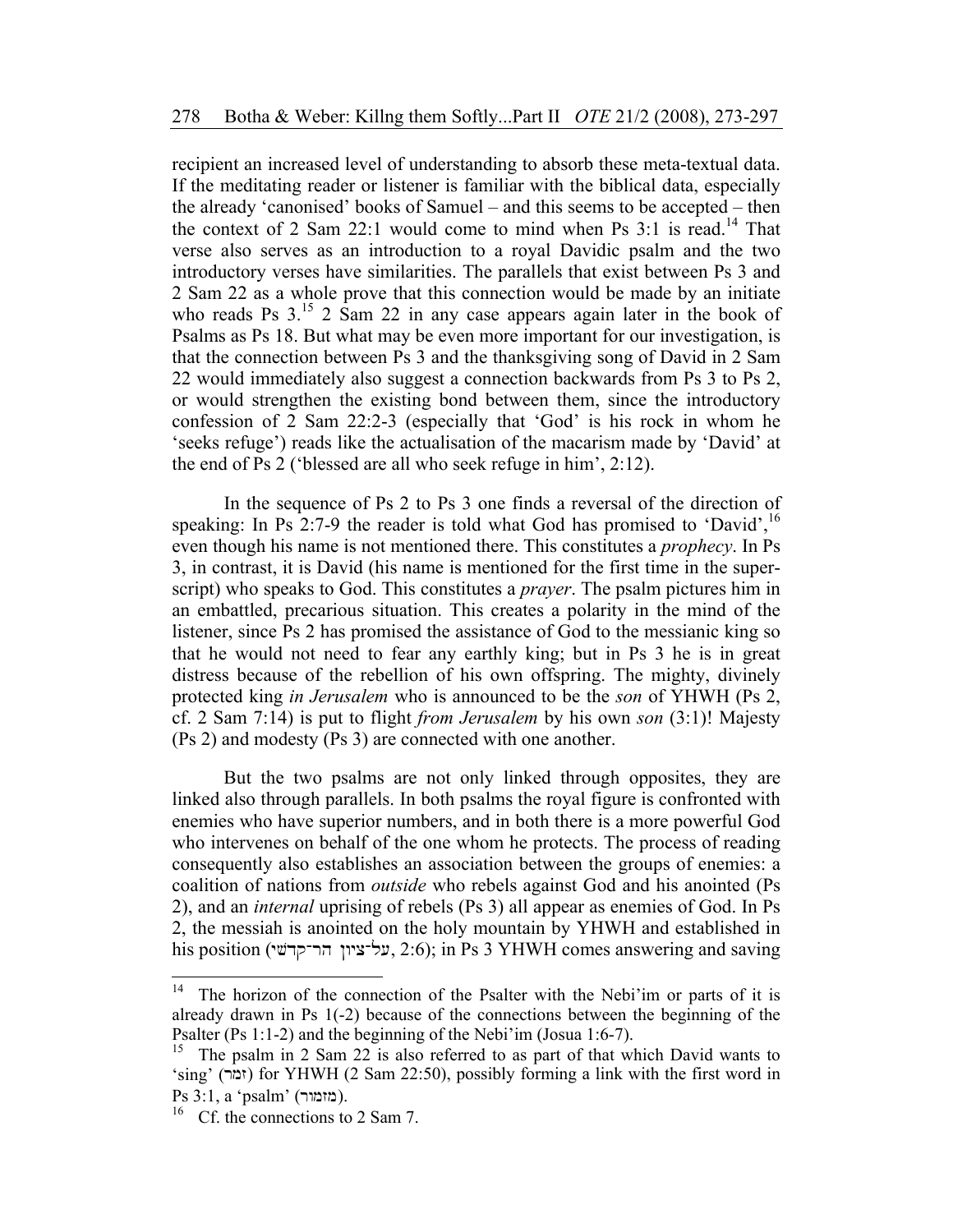recipient an increased level of understanding to absorb these meta-textual data. If the meditating reader or listener is familiar with the biblical data, especially the already 'canonised' books of Samuel – and this seems to be accepted – then the context of 2 Sam 22:1 would come to mind when Ps  $3:1$  is read.<sup>14</sup> That verse also serves as an introduction to a royal Davidic psalm and the two introductory verses have similarities. The parallels that exist between Ps 3 and 2 Sam 22 as a whole prove that this connection would be made by an initiate who reads Ps  $3^{15}$  2 Sam 22 in any case appears again later in the book of Psalms as Ps 18. But what may be even more important for our investigation, is that the connection between Ps 3 and the thanksgiving song of David in 2 Sam 22 would immediately also suggest a connection backwards from Ps 3 to Ps 2, or would strengthen the existing bond between them, since the introductory confession of 2 Sam 22:2-3 (especially that 'God' is his rock in whom he 'seeks refuge') reads like the actualisation of the macarism made by 'David' at the end of Ps 2 ('blessed are all who seek refuge in him', 2:12).

In the sequence of Ps 2 to Ps 3 one finds a reversal of the direction of speaking: In Ps 2:7-9 the reader is told what God has promised to 'David',  $^{16}$ even though his name is not mentioned there. This constitutes a *prophecy*. In Ps 3, in contrast, it is David (his name is mentioned for the first time in the superscript) who speaks to God. This constitutes a *prayer*. The psalm pictures him in an embattled, precarious situation. This creates a polarity in the mind of the listener, since Ps 2 has promised the assistance of God to the messianic king so that he would not need to fear any earthly king; but in Ps 3 he is in great distress because of the rebellion of his own offspring. The mighty, divinely protected king *in Jerusalem* who is announced to be the *son* of YHWH (Ps 2, cf. 2 Sam 7:14) is put to flight *from Jerusalem* by his own *son* (3:1)! Majesty (Ps 2) and modesty (Ps 3) are connected with one another.

But the two psalms are not only linked through opposites, they are linked also through parallels. In both psalms the royal figure is confronted with enemies who have superior numbers, and in both there is a more powerful God who intervenes on behalf of the one whom he protects. The process of reading consequently also establishes an association between the groups of enemies: a coalition of nations from *outside* who rebels against God and his anointed (Ps 2), and an *internal* uprising of rebels (Ps 3) all appear as enemies of God. In Ps 2, the messiah is anointed on the holy mountain by YHWH and established in his position (על־ציון הר־קדשי, 2:6); in Ps 3 YHWH comes answering and saving

 $14$ The horizon of the connection of the Psalter with the Nebi'im or parts of it is already drawn in Ps 1(-2) because of the connections between the beginning of the Psalter (Ps 1:1-2) and the beginning of the Nebi'im (Josua 1:6-7).<br><sup>15</sup> The psalm in 2 Sam 22 is also referred to as part of that which David wants to

<sup>&#</sup>x27;sing' (זמר) for YHWH (2 Sam 22:50), possibly forming a link with the first word in Ps  $3:1$ , a 'psalm' (מזמור).

<sup>&</sup>lt;sup>16</sup> Cf. the connections to 2 Sam 7.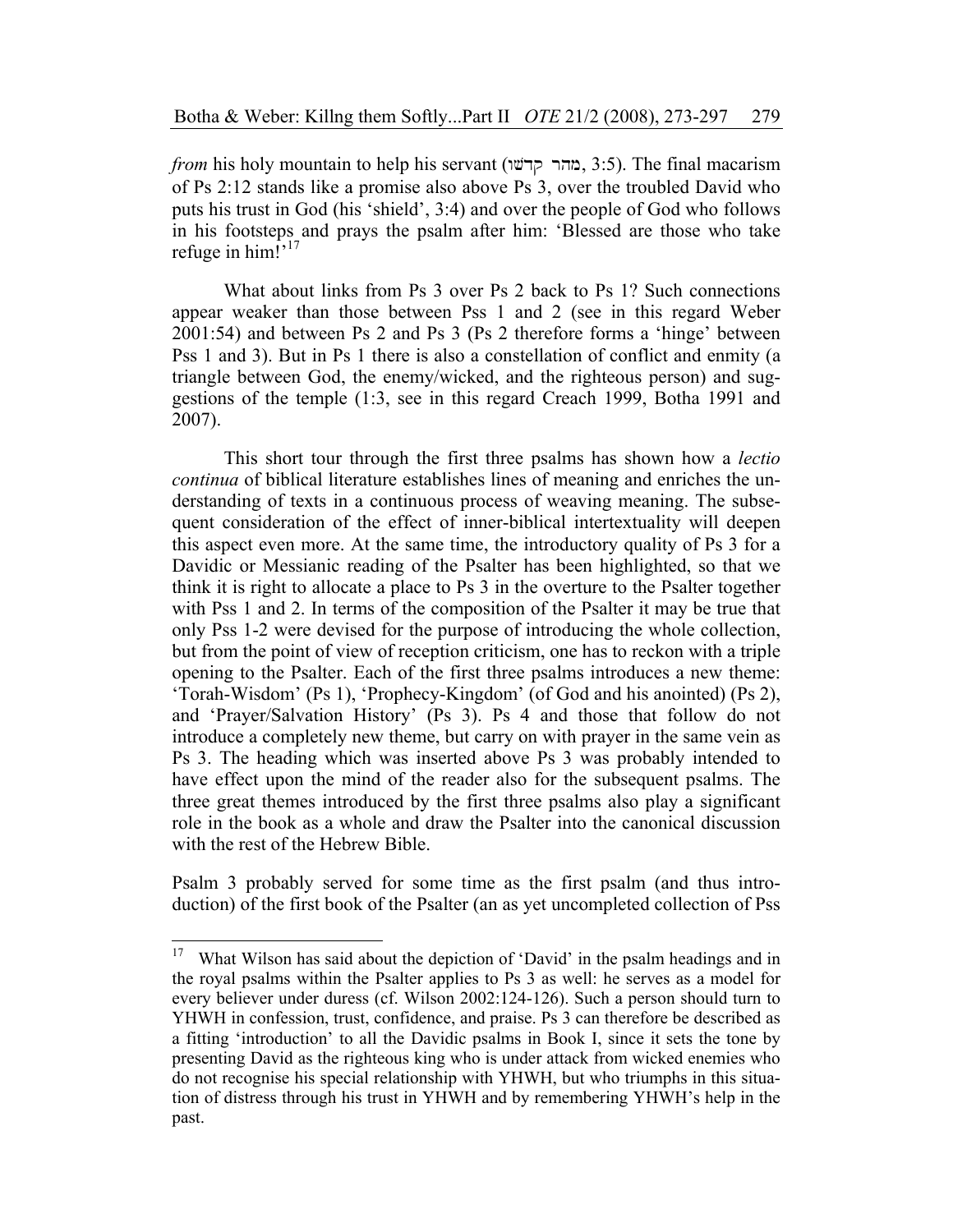*from* his holy mountain to help his servant (מהר קדשו, 3:5). The final macarism of Ps 2:12 stands like a promise also above Ps 3, over the troubled David who puts his trust in God (his 'shield', 3:4) and over the people of God who follows in his footsteps and prays the psalm after him: 'Blessed are those who take refuge in him!"<sup>17</sup>

What about links from Ps 3 over Ps 2 back to Ps 1? Such connections appear weaker than those between Pss 1 and 2 (see in this regard Weber 2001:54) and between Ps 2 and Ps 3 (Ps 2 therefore forms a 'hinge' between Pss 1 and 3). But in Ps 1 there is also a constellation of conflict and enmity (a triangle between God, the enemy/wicked, and the righteous person) and suggestions of the temple (1:3, see in this regard Creach 1999, Botha 1991 and 2007).

This short tour through the first three psalms has shown how a *lectio continua* of biblical literature establishes lines of meaning and enriches the understanding of texts in a continuous process of weaving meaning. The subsequent consideration of the effect of inner-biblical intertextuality will deepen this aspect even more. At the same time, the introductory quality of Ps 3 for a Davidic or Messianic reading of the Psalter has been highlighted, so that we think it is right to allocate a place to Ps 3 in the overture to the Psalter together with Pss 1 and 2. In terms of the composition of the Psalter it may be true that only Pss 1-2 were devised for the purpose of introducing the whole collection, but from the point of view of reception criticism, one has to reckon with a triple opening to the Psalter. Each of the first three psalms introduces a new theme: 'Torah-Wisdom' (Ps 1), 'Prophecy-Kingdom' (of God and his anointed) (Ps 2), and 'Prayer/Salvation History' (Ps 3). Ps 4 and those that follow do not introduce a completely new theme, but carry on with prayer in the same vein as Ps 3. The heading which was inserted above Ps 3 was probably intended to have effect upon the mind of the reader also for the subsequent psalms. The three great themes introduced by the first three psalms also play a significant role in the book as a whole and draw the Psalter into the canonical discussion with the rest of the Hebrew Bible.

Psalm 3 probably served for some time as the first psalm (and thus introduction) of the first book of the Psalter (an as yet uncompleted collection of Pss

<sup>17</sup> What Wilson has said about the depiction of 'David' in the psalm headings and in the royal psalms within the Psalter applies to Ps 3 as well: he serves as a model for every believer under duress (cf. Wilson 2002:124-126). Such a person should turn to YHWH in confession, trust, confidence, and praise. Ps 3 can therefore be described as a fitting 'introduction' to all the Davidic psalms in Book I, since it sets the tone by presenting David as the righteous king who is under attack from wicked enemies who do not recognise his special relationship with YHWH, but who triumphs in this situation of distress through his trust in YHWH and by remembering YHWH's help in the past.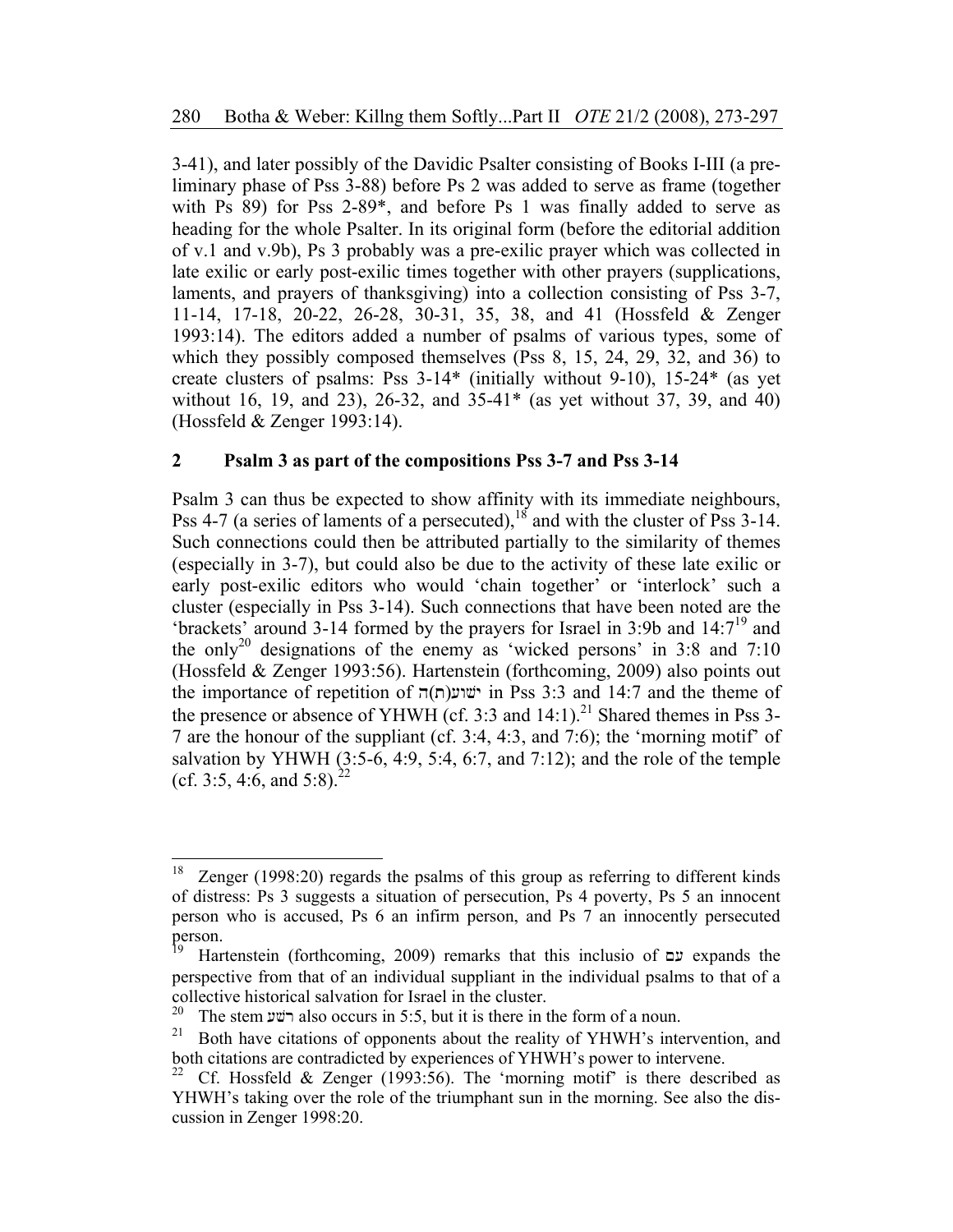3-41), and later possibly of the Davidic Psalter consisting of Books I-III (a preliminary phase of Pss 3-88) before Ps 2 was added to serve as frame (together with Ps 89) for Pss 2-89\*, and before Ps 1 was finally added to serve as heading for the whole Psalter. In its original form (before the editorial addition of v.1 and v.9b), Ps 3 probably was a pre-exilic prayer which was collected in late exilic or early post-exilic times together with other prayers (supplications, laments, and prayers of thanksgiving) into a collection consisting of Pss 3-7, 11-14, 17-18, 20-22, 26-28, 30-31, 35, 38, and 41 (Hossfeld & Zenger 1993:14). The editors added a number of psalms of various types, some of which they possibly composed themselves (Pss 8, 15, 24, 29, 32, and 36) to create clusters of psalms: Pss 3-14\* (initially without 9-10), 15-24\* (as yet without 16, 19, and 23), 26-32, and 35-41\* (as yet without 37, 39, and 40) (Hossfeld & Zenger 1993:14).

# **2 Psalm 3 as part of the compositions Pss 3-7 and Pss 3-14**

Psalm 3 can thus be expected to show affinity with its immediate neighbours, Pss 4-7 (a series of laments of a persecuted),<sup>18</sup> and with the cluster of Pss 3-14. Such connections could then be attributed partially to the similarity of themes (especially in 3-7), but could also be due to the activity of these late exilic or early post-exilic editors who would 'chain together' or 'interlock' such a cluster (especially in Pss 3-14). Such connections that have been noted are the 'brackets' around 3-14 formed by the prayers for Israel in 3:9b and  $14:7^{19}$  and the only<sup>20</sup> designations of the enemy as 'wicked persons' in 3:8 and 7:10 (Hossfeld & Zenger 1993:56). Hartenstein (forthcoming, 2009) also points out the importance of repetition of  $\pi(\Pi)$ ישוע $\pi(\Pi)$  in Pss 3:3 and 14:7 and the theme of the presence or absence of YHWH (cf. 3:3 and  $14:1$ ).<sup>21</sup> Shared themes in Pss 3-7 are the honour of the suppliant (cf. 3:4, 4:3, and 7:6); the 'morning motif' of salvation by YHWH  $(3:5-6, 4:9, 5:4, 6:7,$  and  $(7:12)$ ; and the role of the temple (cf. 3:5, 4:6, and 5:8).<sup>22</sup>

 $\overline{a}$ 

Zenger  $(1998:20)$  regards the psalms of this group as referring to different kinds of distress: Ps 3 suggests a situation of persecution, Ps 4 poverty, Ps 5 an innocent person who is accused, Ps 6 an infirm person, and Ps 7 an innocently persecuted person.

Hartenstein (forthcoming, 2009) remarks that this inclusio of  $\Xi$  expands the perspective from that of an individual suppliant in the individual psalms to that of a collective historical salvation for Israel in the cluster.<br> $20$  The stem with also occurs in 5:5, but it is there in

<sup>&</sup>lt;sup>20</sup> The stem בישע also occurs in 5:5, but it is there in the form of a noun.<br><sup>21</sup> Both have citations of opponents about the reality of VHWH's inte

<sup>21</sup> Both have citations of opponents about the reality of YHWH's intervention, and both citations are contradicted by experiences of YHWH's power to intervene.<br><sup>22</sup> Cf. Hossfeld & Zenger (1993:56). The 'morning motif' is there descri-

Cf. Hossfeld & Zenger (1993:56). The 'morning motif' is there described as YHWH's taking over the role of the triumphant sun in the morning. See also the discussion in Zenger 1998:20.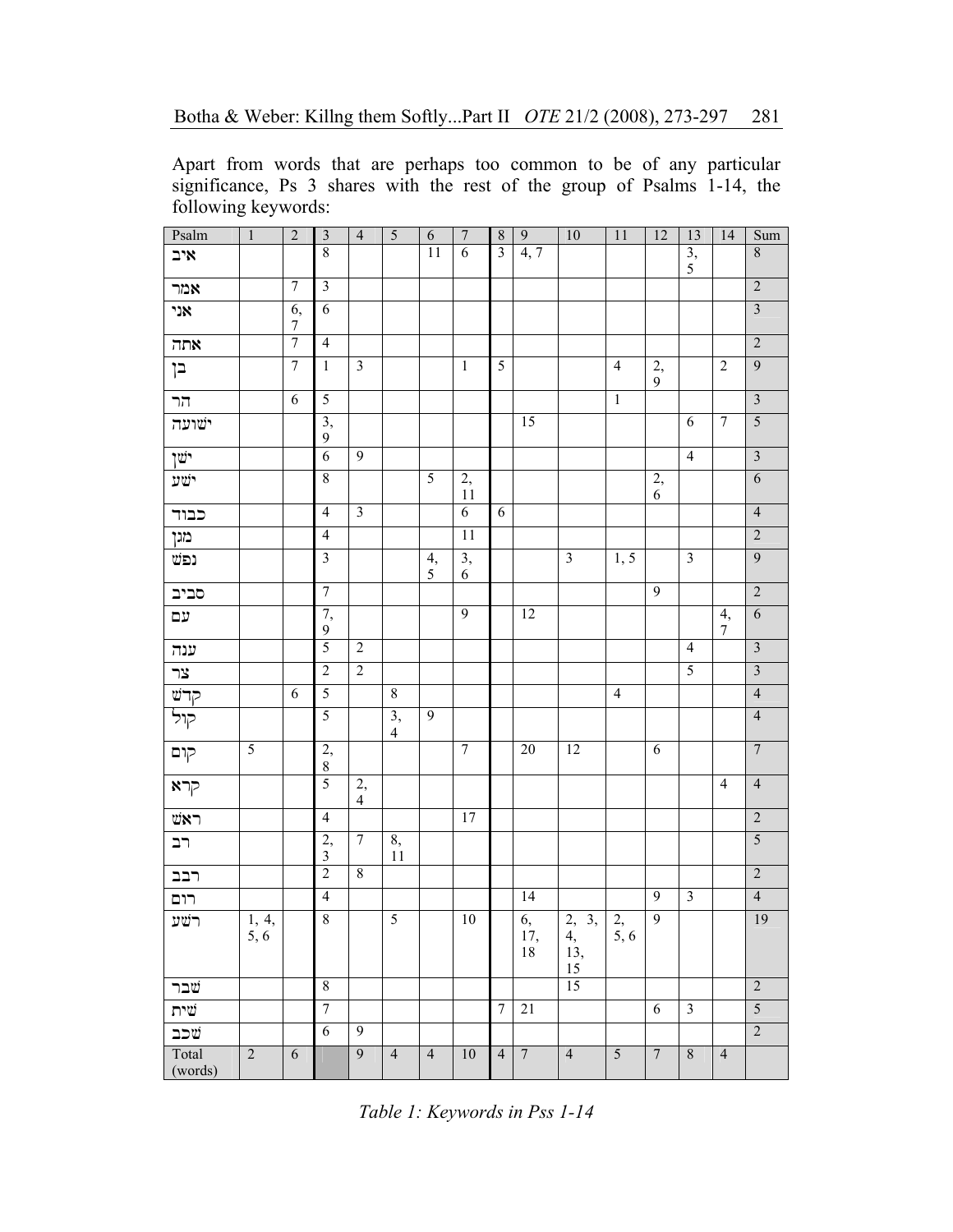Apart from words that are perhaps too common to be of any particular significance, Ps 3 shares with the rest of the group of Psalms 1-14, the following keywords:

| Psalm                            | $\mathbf{1}$                 | $\overline{2}$         | $\overline{\mathbf{3}}$ | $\overline{4}$       |                      | $\sqrt{6}$     | $\overline{7}$        | $\overline{\bf 8}$      | $\overline{9}$  | 10                                      | 11                     | $\overline{12}$      | 13                      | 14             | Sum                     |
|----------------------------------|------------------------------|------------------------|-------------------------|----------------------|----------------------|----------------|-----------------------|-------------------------|-----------------|-----------------------------------------|------------------------|----------------------|-------------------------|----------------|-------------------------|
| איב                              |                              |                        | 8                       |                      |                      | 11             | 6                     | $\overline{\mathbf{3}}$ | 4, 7            |                                         |                        |                      | 3,<br>$\mathfrak s$     |                | $\,8\,$                 |
| אמר                              |                              | $\tau$                 | $\mathfrak{Z}$          |                      |                      |                |                       |                         |                 |                                         |                        |                      |                         |                | $\overline{2}$          |
| אני                              |                              | 6,<br>$\boldsymbol{7}$ | 6                       |                      |                      |                |                       |                         |                 |                                         |                        |                      |                         |                | $\overline{\mathbf{3}}$ |
| תה $\,$                          |                              | $\overline{7}$         | $\overline{4}$          |                      |                      |                |                       |                         |                 |                                         |                        |                      |                         |                | $\overline{2}$          |
| בן                               |                              | $\boldsymbol{7}$       | $\mathbf{1}$            | $\mathfrak{Z}$       |                      |                | $\mathbf{1}$          | 5                       |                 |                                         | $\overline{4}$         | $\overline{2},$<br>9 |                         | $\overline{2}$ | 9                       |
| הר                               |                              | 6                      | $\overline{5}$          |                      |                      |                |                       |                         |                 |                                         | $\mathbf{1}$           |                      |                         |                | $\overline{3}$          |
| ישועה                            |                              |                        | $\overline{3}$ ,<br>9   |                      |                      |                |                       |                         | $\overline{15}$ |                                         |                        |                      | 6                       | $\overline{7}$ | $\overline{5}$          |
| ישו                              |                              |                        | $\overline{6}$          | $\overline{9}$       |                      |                |                       |                         |                 |                                         |                        |                      | $\overline{4}$          |                | $\overline{3}$          |
| ישע                              |                              |                        | $\,$ $\,$               |                      |                      | $\overline{5}$ | 2,<br>11              |                         |                 |                                         |                        | 2,<br>6              |                         |                | $\overline{6}$          |
| כבוד                             |                              |                        | $\overline{4}$          | $\overline{3}$       |                      |                | $\overline{6}$        | $\sqrt{6}$              |                 |                                         |                        |                      |                         |                | $\overline{4}$          |
| מגן                              |                              |                        | $\overline{4}$          |                      |                      |                | 11                    |                         |                 |                                         |                        |                      |                         |                | $\overline{2}$          |
| נפש                              |                              |                        | $\overline{\mathbf{3}}$ |                      |                      | 4,<br>5        | $\overline{3}$ ,<br>6 |                         |                 | $\mathfrak{Z}$                          | 1, 5                   |                      | $\overline{3}$          |                | $\overline{9}$          |
| סביב                             |                              |                        | $\overline{7}$          |                      |                      |                |                       |                         |                 |                                         |                        | $\overline{9}$       |                         |                | $\overline{2}$          |
| עם                               |                              |                        | 7,<br>9                 |                      |                      |                | $\overline{9}$        |                         | $\overline{12}$ |                                         |                        |                      |                         | 4,<br>7        | $\overline{6}$          |
| ענה                              |                              |                        | $\overline{5}$          | $\sqrt{2}$           |                      |                |                       |                         |                 |                                         |                        |                      | $\overline{4}$          |                | $\overline{3}$          |
| צר                               |                              |                        | $\overline{2}$          | $\overline{2}$       |                      |                |                       |                         |                 |                                         |                        |                      | 5                       |                | $\overline{3}$          |
| קדש                              |                              | 6                      | 5                       |                      | $\overline{8}$       |                |                       |                         |                 |                                         | $\overline{4}$         |                      |                         |                | $\overline{4}$          |
| קול                              |                              |                        | 5                       |                      | 3,<br>$\overline{4}$ | $\overline{9}$ |                       |                         |                 |                                         |                        |                      |                         |                | $\overline{4}$          |
| קום                              | 5                            |                        | $\frac{2}{8}$           |                      |                      |                | $\overline{7}$        |                         | 20              | $\overline{12}$                         |                        | 6                    |                         |                | $\overline{7}$          |
| אקרא $\overline{P}$              |                              |                        | $\overline{5}$          | 2,<br>$\overline{4}$ |                      |                |                       |                         |                 |                                         |                        |                      |                         | $\overline{4}$ | $\overline{4}$          |
| $\texttt{WN} \bm{\mathsf \lnot}$ |                              |                        | $\overline{4}$          |                      |                      |                | 17                    |                         |                 |                                         |                        |                      |                         |                | $\overline{c}$          |
| רב                               |                              |                        | 2,<br>$\overline{3}$    | $\overline{7}$       | 8,<br>11             |                |                       |                         |                 |                                         |                        |                      |                         |                | $\overline{5}$          |
| רבב                              |                              |                        | $\overline{2}$          | $8\,$                |                      |                |                       |                         |                 |                                         |                        |                      |                         |                | $\overline{2}$          |
| רום                              |                              |                        | $\overline{4}$          |                      |                      |                |                       |                         | 14              |                                         |                        | 9                    | $\overline{\mathbf{3}}$ |                | $\overline{4}$          |
| רשע                              | $\overline{1, 4, 4}$<br>5, 6 |                        | $\sqrt{8}$              |                      | 5                    |                | $10\,$                |                         | 6,<br>17,<br>18 | $\overline{3}$<br>2,<br>4,<br>13,<br>15 | $\overline{2}$<br>5, 6 | $\overline{9}$       |                         |                | 19                      |
| שבר                              |                              |                        | 8                       |                      |                      |                |                       |                         |                 | 15                                      |                        |                      |                         |                | $\overline{2}$          |
| שית                              |                              |                        | $\overline{7}$          |                      |                      |                |                       | $\overline{7}$          | 21              |                                         |                        | 6                    | $\overline{3}$          |                | $\overline{5}$          |
| שכב                              |                              |                        | 6                       | 9                    |                      |                |                       |                         |                 |                                         |                        |                      |                         |                | $\overline{2}$          |
| Total<br>(words)                 | $\overline{2}$               | $\overline{6}$         |                         | 9                    | $\overline{4}$       | $\overline{4}$ | 10                    | $\overline{4}$          | $7\overline{ }$ | $\overline{4}$                          | 5                      | $\overline{7}$       | $\overline{8}$          | $\overline{4}$ |                         |

*Table 1: Keywords in Pss 1-14*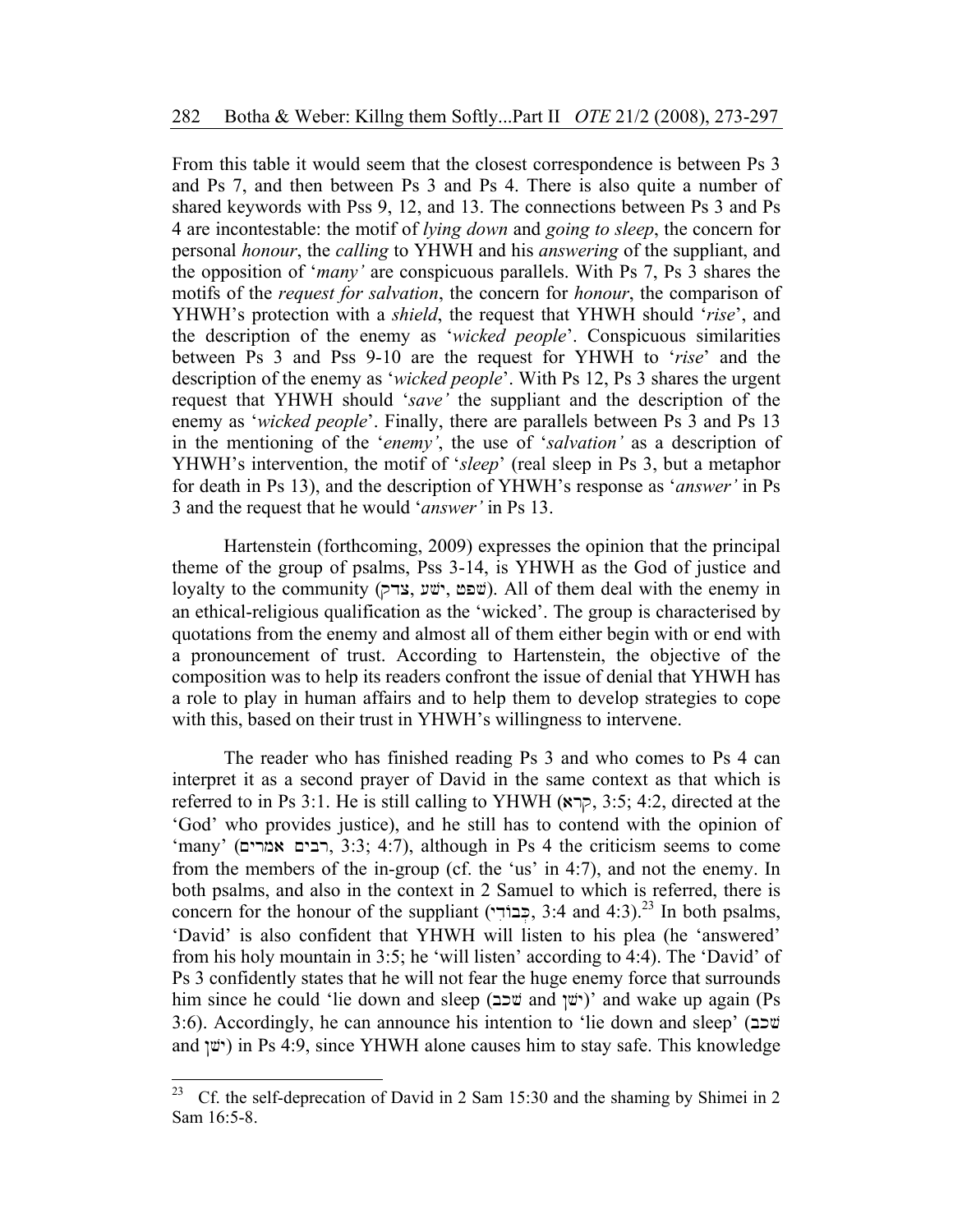From this table it would seem that the closest correspondence is between Ps 3 and Ps 7, and then between Ps 3 and Ps 4. There is also quite a number of shared keywords with Pss 9, 12, and 13. The connections between Ps 3 and Ps 4 are incontestable: the motif of *lying down* and *going to sleep*, the concern for personal *honour*, the *calling* to YHWH and his *answering* of the suppliant, and the opposition of '*many'* are conspicuous parallels. With Ps 7, Ps 3 shares the motifs of the *request for salvation*, the concern for *honour*, the comparison of YHWH's protection with a *shield*, the request that YHWH should '*rise*', and the description of the enemy as '*wicked people*'. Conspicuous similarities between Ps 3 and Pss 9-10 are the request for YHWH to '*rise*' and the description of the enemy as '*wicked people*'. With Ps 12, Ps 3 shares the urgent request that YHWH should '*save'* the suppliant and the description of the enemy as '*wicked people*'. Finally, there are parallels between Ps 3 and Ps 13 in the mentioning of the '*enemy'*, the use of '*salvation'* as a description of YHWH's intervention, the motif of '*sleep*' (real sleep in Ps 3, but a metaphor for death in Ps 13), and the description of YHWH's response as '*answer'* in Ps 3 and the request that he would '*answer'* in Ps 13.

Hartenstein (forthcoming, 2009) expresses the opinion that the principal theme of the group of psalms, Pss 3-14, is YHWH as the God of justice and loyalty to the community (שפט, ישׁע, ישׁע, iof them deal with the enemy in an ethical-religious qualification as the 'wicked'. The group is characterised by quotations from the enemy and almost all of them either begin with or end with a pronouncement of trust. According to Hartenstein, the objective of the composition was to help its readers confront the issue of denial that YHWH has a role to play in human affairs and to help them to develop strategies to cope with this, based on their trust in YHWH's willingness to intervene.

The reader who has finished reading Ps 3 and who comes to Ps 4 can interpret it as a second prayer of David in the same context as that which is referred to in Ps 3:1. He is still calling to YHWH  $(\overline{x})$ , 3:5; 4:2, directed at the 'God' who provides justice), and he still has to contend with the opinion of 'many' (רבים אמרים, 3:3; 4:7), although in Ps 4 the criticism seems to come from the members of the in-group (cf. the 'us' in 4:7), and not the enemy. In both psalms, and also in the context in 2 Samuel to which is referred, there is concern for the honour of the suppliant (בְּבוֹדִי, 3:4 and 4:3).<sup>23</sup> In both psalms, 'David' is also confident that YHWH will listen to his plea (he 'answered' from his holy mountain in 3:5; he 'will listen' according to 4:4). The 'David' of Ps 3 confidently states that he will not fear the huge enemy force that surrounds him since he could 'lie down and sleep (יֹשׁן and 'vi')' and wake up again (Ps 3:6). Accordingly, he can announce his intention to 'lie down and sleep' (bkv and *(*ישן) in Ps 4:9, since YHWH alone causes him to stay safe. This knowledge

<sup>23</sup> Cf. the self-deprecation of David in 2 Sam 15:30 and the shaming by Shimei in 2 Sam 16:5-8.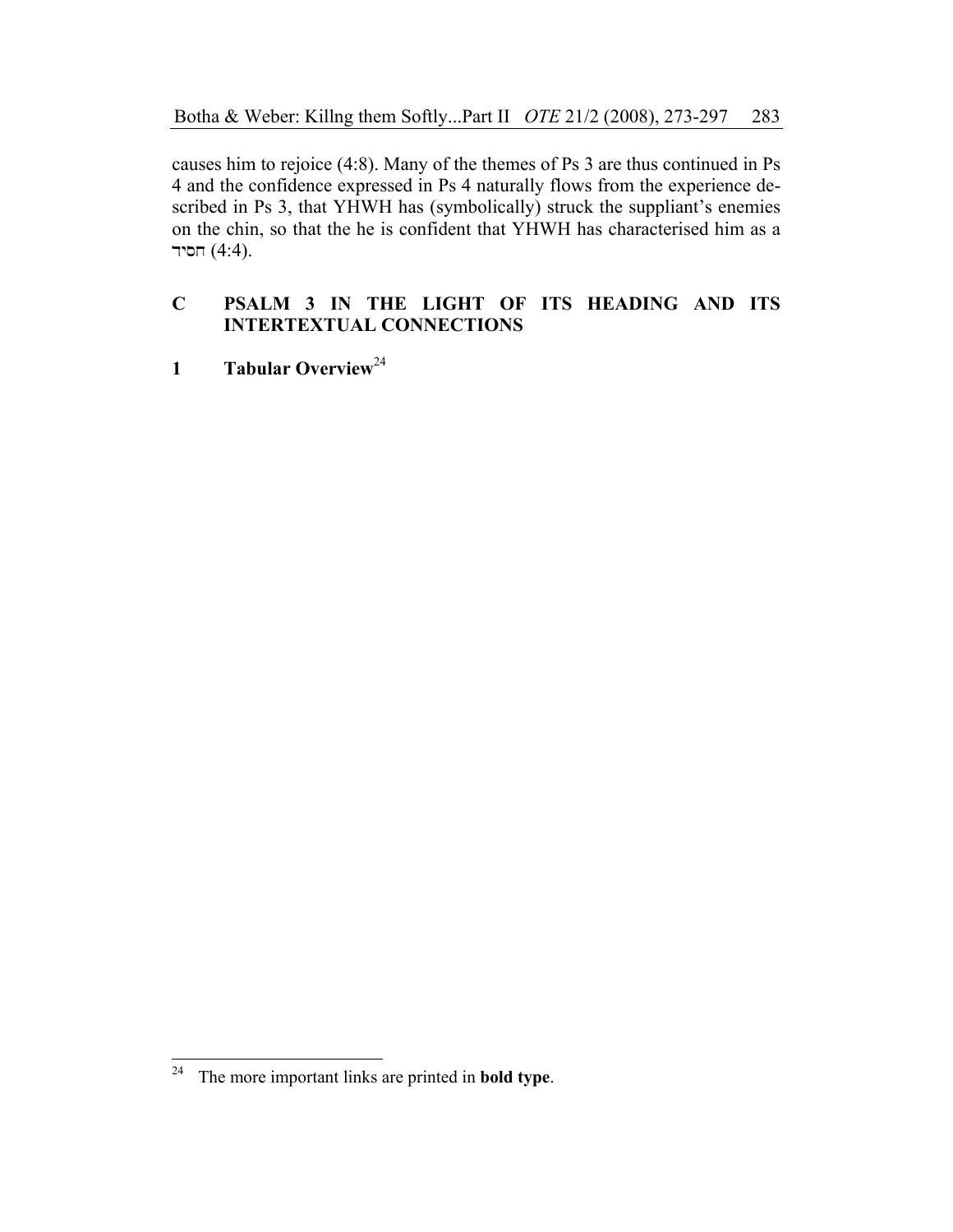causes him to rejoice (4:8). Many of the themes of Ps 3 are thus continued in Ps 4 and the confidence expressed in Ps 4 naturally flows from the experience described in Ps 3, that YHWH has (symbolically) struck the suppliant's enemies on the chin, so that the he is confident that YHWH has characterised him as a חסיד  $(4:4)$ .

# **C PSALM 3 IN THE LIGHT OF ITS HEADING AND ITS INTERTEXTUAL CONNECTIONS**

**1 Tabular Overview**<sup>24</sup>

 $\overline{a}$ 24 The more important links are printed in **bold type**.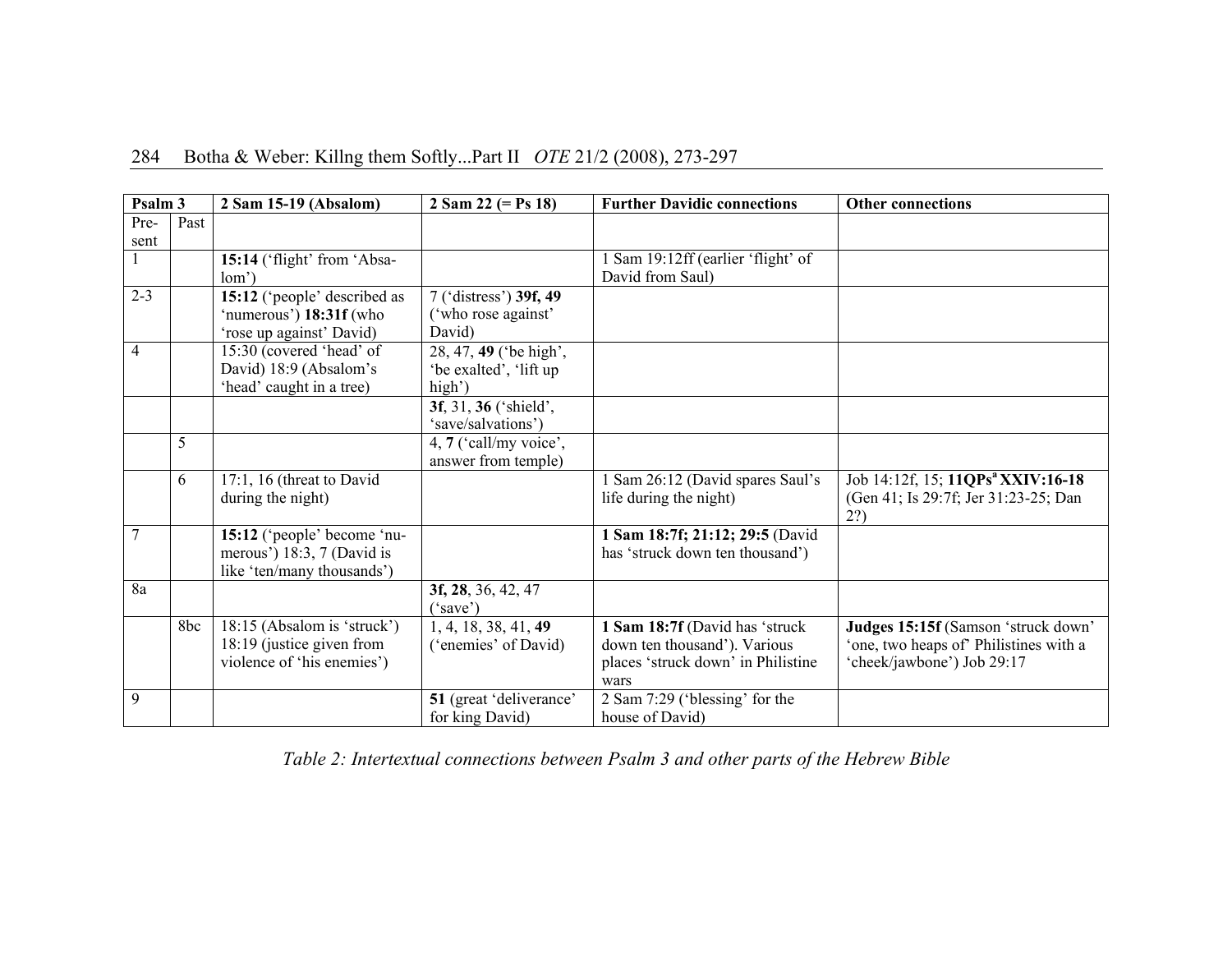# 284 Botha & Weber: Killng them Softly...Part II *OTE* 21/2 (2008), 273-297

| Psalm 3        |      | 2 Sam 15-19 (Absalom)                                                                   | 2 Sam 22 (= $Ps$ 18)                                       | <b>Further Davidic connections</b>                                                                           | <b>Other connections</b>                                                                                    |  |  |  |
|----------------|------|-----------------------------------------------------------------------------------------|------------------------------------------------------------|--------------------------------------------------------------------------------------------------------------|-------------------------------------------------------------------------------------------------------------|--|--|--|
| Pre-<br>sent   | Past |                                                                                         |                                                            |                                                                                                              |                                                                                                             |  |  |  |
|                |      | 15:14 ('flight' from 'Absa-<br>lom'                                                     |                                                            | 1 Sam 19:12ff (earlier 'flight' of<br>David from Saul)                                                       |                                                                                                             |  |  |  |
| $2 - 3$        |      | 15:12 ('people' described as<br>'numerous') 18:31f (who<br>'rose up against' David)     | 7 ('distress') 39f, 49<br>('who rose against'<br>David)    |                                                                                                              |                                                                                                             |  |  |  |
| $\overline{4}$ |      | 15:30 (covered 'head' of<br>David) 18:9 (Absalom's<br>'head' caught in a tree)          | 28, 47, 49 ('be high',<br>'be exalted', 'lift up<br>high') |                                                                                                              |                                                                                                             |  |  |  |
|                |      |                                                                                         | 3f, 31, 36 ('shield',<br>'save/salvations')                |                                                                                                              |                                                                                                             |  |  |  |
|                | 5    |                                                                                         | 4, 7 ('call/my voice',<br>answer from temple)              |                                                                                                              |                                                                                                             |  |  |  |
|                | 6    | 17:1, 16 (threat to David<br>during the night)                                          |                                                            | Sam 26:12 (David spares Saul's<br>life during the night)                                                     | Job 14:12f, 15; 11QPs <sup>a</sup> XXIV:16-18<br>(Gen 41; Is 29:7f; Jer 31:23-25; Dan<br>2?)                |  |  |  |
| $\overline{7}$ |      | 15:12 ('people' become 'nu-<br>merous') 18:3, 7 (David is<br>like 'ten/many thousands') |                                                            | 1 Sam 18:7f; 21:12; 29:5 (David<br>has 'struck down ten thousand')                                           |                                                                                                             |  |  |  |
| 8a             |      |                                                                                         | 3f, 28, 36, 42, 47<br>("save")                             |                                                                                                              |                                                                                                             |  |  |  |
|                | 8bc  | 18:15 (Absalom is 'struck')<br>18:19 (justice given from<br>violence of 'his enemies')  | 1, 4, 18, 38, 41, 49<br>('enemies' of David)               | 1 Sam 18:7f (David has 'struck<br>down ten thousand'). Various<br>places 'struck down' in Philistine<br>wars | Judges 15:15f (Samson 'struck down'<br>'one, two heaps of' Philistines with a<br>'cheek/jawbone') Job 29:17 |  |  |  |
| 9              |      |                                                                                         | 51 (great 'deliverance'<br>for king David)                 | 2 Sam 7:29 ('blessing' for the<br>house of David)                                                            |                                                                                                             |  |  |  |

*Table 2: Intertextual connections between Psalm 3 and other parts of the Hebrew Bible*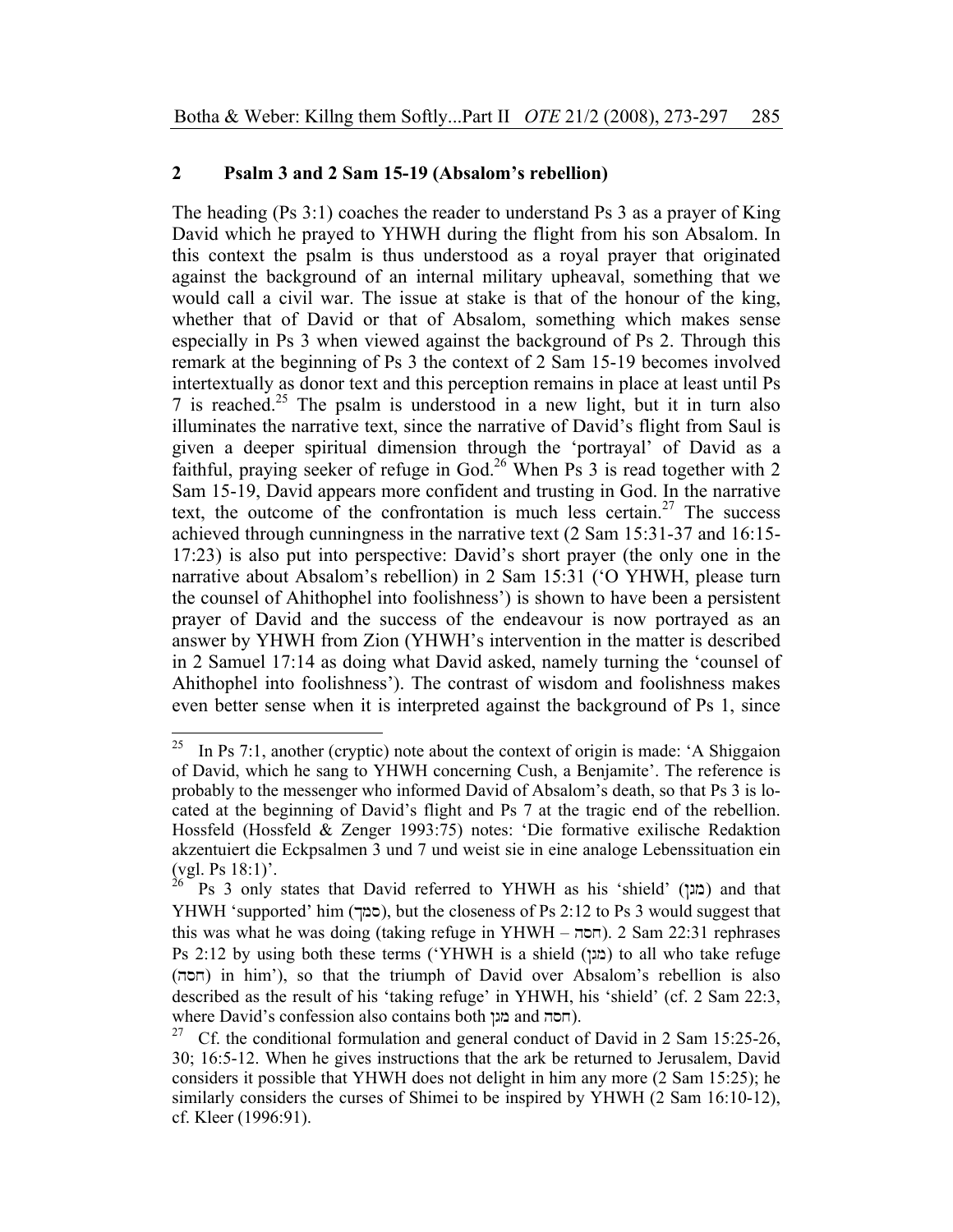## **2 Psalm 3 and 2 Sam 15-19 (Absalom's rebellion)**

The heading (Ps 3:1) coaches the reader to understand Ps 3 as a prayer of King David which he prayed to YHWH during the flight from his son Absalom. In this context the psalm is thus understood as a royal prayer that originated against the background of an internal military upheaval, something that we would call a civil war. The issue at stake is that of the honour of the king, whether that of David or that of Absalom, something which makes sense especially in Ps 3 when viewed against the background of Ps 2. Through this remark at the beginning of Ps 3 the context of 2 Sam 15-19 becomes involved intertextually as donor text and this perception remains in place at least until Ps 7 is reached.<sup>25</sup> The psalm is understood in a new light, but it in turn also illuminates the narrative text, since the narrative of David's flight from Saul is given a deeper spiritual dimension through the 'portrayal' of David as a faithful, praying seeker of refuge in God.<sup>26</sup> When Ps 3 is read together with 2 Sam 15-19, David appears more confident and trusting in God. In the narrative text, the outcome of the confrontation is much less certain.<sup>27</sup> The success achieved through cunningness in the narrative text (2 Sam 15:31-37 and 16:15- 17:23) is also put into perspective: David's short prayer (the only one in the narrative about Absalom's rebellion) in 2 Sam 15:31 ('O YHWH, please turn the counsel of Ahithophel into foolishness') is shown to have been a persistent prayer of David and the success of the endeavour is now portrayed as an answer by YHWH from Zion (YHWH's intervention in the matter is described in 2 Samuel 17:14 as doing what David asked, namely turning the 'counsel of Ahithophel into foolishness'). The contrast of wisdom and foolishness makes even better sense when it is interpreted against the background of Ps 1, since

<sup>25</sup> In Ps 7:1, another (cryptic) note about the context of origin is made: 'A Shiggaion of David, which he sang to YHWH concerning Cush, a Benjamite'. The reference is probably to the messenger who informed David of Absalom's death, so that Ps 3 is located at the beginning of David's flight and Ps 7 at the tragic end of the rebellion. Hossfeld (Hossfeld & Zenger 1993:75) notes: 'Die formative exilische Redaktion akzentuiert die Eckpsalmen 3 und 7 und weist sie in eine analoge Lebenssituation ein  $\left(\text{vgl. Ps } 18:1\right)^2$ .

Ps 3 only states that David referred to YHWH as his 'shield' (מגן) and that YHWH 'supported' him (\$ms), but the closeness of Ps 2:12 to Ps 3 would suggest that this was what he was doing (taking refuge in YHWH – חסה). 2 Sam 22:31 rephrases Ps 2:12 by using both these terms ('YHWH is a shield (מגן) to all who take refuge (hsx) in him'), so that the triumph of David over Absalom's rebellion is also described as the result of his 'taking refuge' in YHWH, his 'shield' (cf. 2 Sam 22:3, where David's confession also contains both (חסה and הגן

<sup>&</sup>lt;sup>27</sup> Cf. the conditional formulation and general conduct of David in 2 Sam 15:25-26, 30; 16:5-12. When he gives instructions that the ark be returned to Jerusalem, David considers it possible that YHWH does not delight in him any more (2 Sam 15:25); he similarly considers the curses of Shimei to be inspired by YHWH (2 Sam 16:10-12), cf. Kleer (1996:91).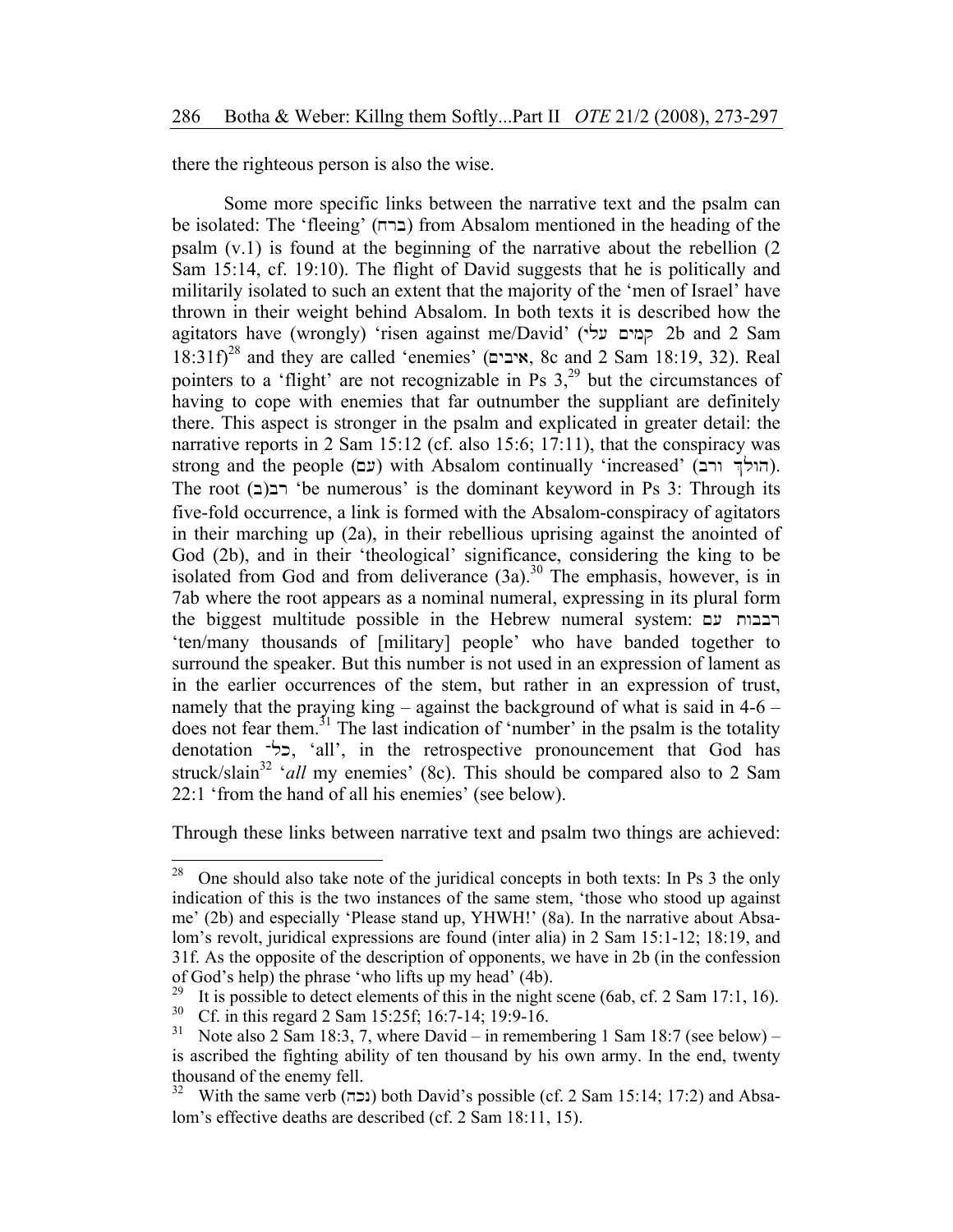there the righteous person is also the wise.

Some more specific links between the narrative text and the psalm can be isolated: The 'fleeing' (xrb) from Absalom mentioned in the heading of the psalm (v.1) is found at the beginning of the narrative about the rebellion (2 Sam 15:14, cf. 19:10). The flight of David suggests that he is politically and militarily isolated to such an extent that the majority of the 'men of Israel' have thrown in their weight behind Absalom. In both texts it is described how the agitators have (wrongly) 'risen against me/David' (קמים עלי 2b and 2 Sam  $18:31f$ <sup>28</sup> and they are called 'enemies' (איבים, 8c and 2 Sam 18:19, 32). Real pointers to a 'flight' are not recognizable in Ps  $3<sup>29</sup>$  but the circumstances of having to cope with enemies that far outnumber the suppliant are definitely there. This aspect is stronger in the psalm and explicated in greater detail: the narrative reports in 2 Sam 15:12 (cf. also 15:6; 17:11), that the conspiracy was strong and the people (עם) with Absalom continually 'increased' (הולך ורב). The root  $(z)$ רב $(z)$ 'be numerous' is the dominant keyword in Ps 3: Through its five-fold occurrence, a link is formed with the Absalom-conspiracy of agitators in their marching up (2a), in their rebellious uprising against the anointed of God (2b), and in their 'theological' significance, considering the king to be isolated from God and from deliverance  $(3a)$ <sup>30</sup> The emphasis, however, is in 7ab where the root appears as a nominal numeral, expressing in its plural form the biggest multitude possible in the Hebrew numeral system: רבבות עם 'ten/many thousands of [military] people' who have banded together to surround the speaker. But this number is not used in an expression of lament as in the earlier occurrences of the stem, but rather in an expression of trust, namely that the praying king – against the background of what is said in 4-6 – does not fear them.<sup>31</sup> The last indication of 'number' in the psalm is the totality denotation -c<sup>+</sup>, 'all', in the retrospective pronouncement that God has struck/slain<sup>32</sup> '*all* my enemies' (8c). This should be compared also to 2 Sam 22:1 'from the hand of all his enemies' (see below).

Through these links between narrative text and psalm two things are achieved:

<sup>28</sup> 28 One should also take note of the juridical concepts in both texts: In Ps 3 the only indication of this is the two instances of the same stem, 'those who stood up against me' (2b) and especially 'Please stand up, YHWH!' (8a). In the narrative about Absalom's revolt, juridical expressions are found (inter alia) in 2 Sam 15:1-12; 18:19, and 31f. As the opposite of the description of opponents, we have in 2b (in the confession of God's help) the phrase 'who lifts up my head' (4b).<br><sup>29</sup> It is possible to detect elements of this in the pight.

<sup>&</sup>lt;sup>29</sup> It is possible to detect elements of this in the night scene (6ab, cf. 2 Sam 17:1, 16).<br><sup>30</sup> Cf. in this regard 2 Sam 15:25f; 16:7-14; 19:9-16.

<sup>&</sup>lt;sup>31</sup> Note also 2 Sam 18:3, 7, where David – in remembering 1 Sam 18:7 (see below) – is ascribed the fighting ability of ten thousand by his own army. In the end, twenty thousand of the enemy fell.

<sup>&</sup>lt;sup>32</sup> With the same verb (נכה) both David's possible (cf. 2 Sam 15:14; 17:2) and Absalom's effective deaths are described (cf. 2 Sam 18:11, 15).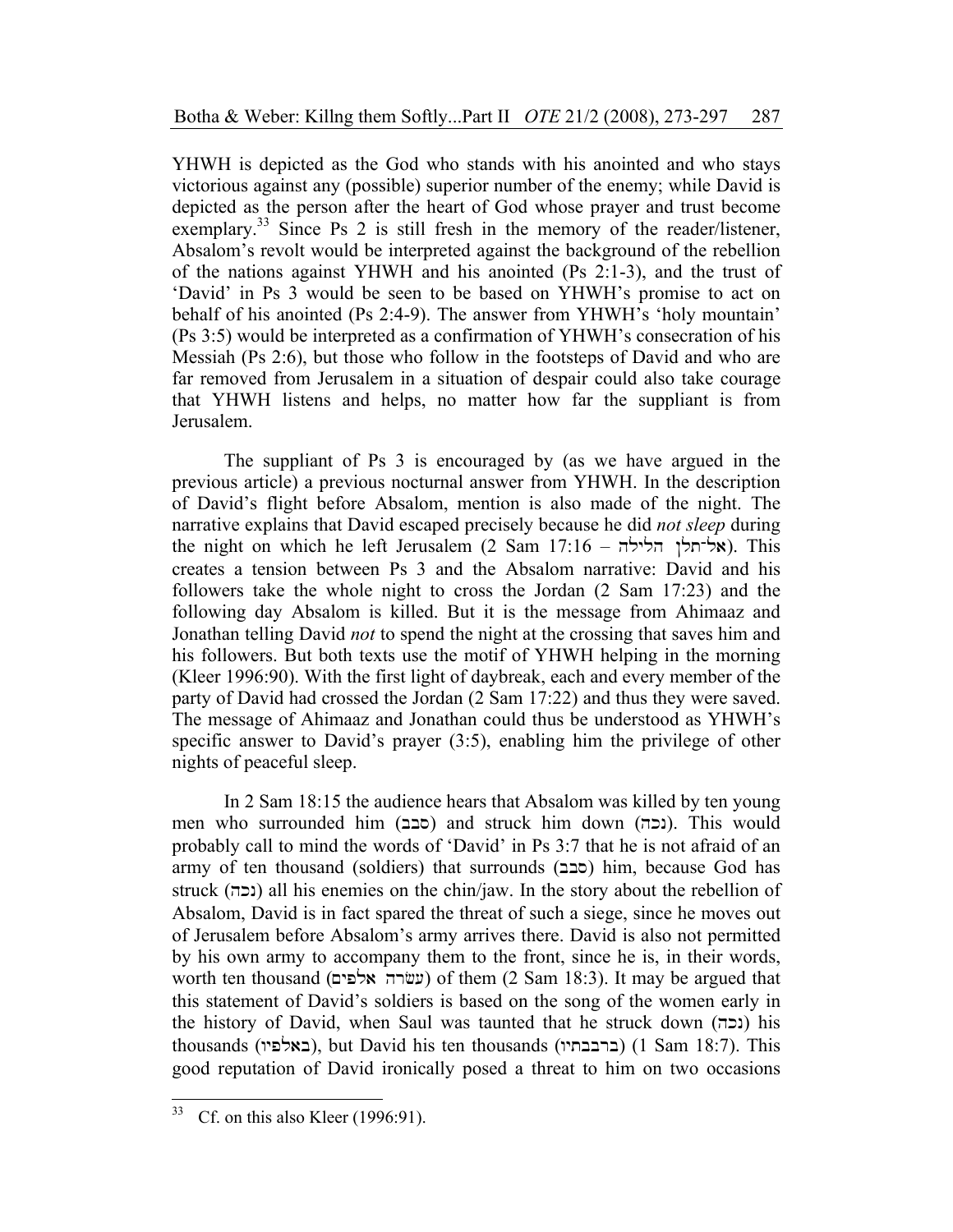YHWH is depicted as the God who stands with his anointed and who stays victorious against any (possible) superior number of the enemy; while David is depicted as the person after the heart of God whose prayer and trust become exemplary.<sup>33</sup> Since Ps 2 is still fresh in the memory of the reader/listener, Absalom's revolt would be interpreted against the background of the rebellion of the nations against YHWH and his anointed (Ps 2:1-3), and the trust of 'David' in Ps 3 would be seen to be based on YHWH's promise to act on behalf of his anointed (Ps 2:4-9). The answer from YHWH's 'holy mountain' (Ps 3:5) would be interpreted as a confirmation of YHWH's consecration of his Messiah (Ps 2:6), but those who follow in the footsteps of David and who are far removed from Jerusalem in a situation of despair could also take courage that YHWH listens and helps, no matter how far the suppliant is from Jerusalem.

The suppliant of Ps 3 is encouraged by (as we have argued in the previous article) a previous nocturnal answer from YHWH. In the description of David's flight before Absalom, mention is also made of the night. The narrative explains that David escaped precisely because he did *not sleep* during the night on which he left Jerusalem (2 Sam  $17:16 - h$ לילה | Khis creates a tension between Ps 3 and the Absalom narrative: David and his followers take the whole night to cross the Jordan (2 Sam 17:23) and the following day Absalom is killed. But it is the message from Ahimaaz and Jonathan telling David *not* to spend the night at the crossing that saves him and his followers. But both texts use the motif of YHWH helping in the morning (Kleer 1996:90). With the first light of daybreak, each and every member of the party of David had crossed the Jordan (2 Sam 17:22) and thus they were saved. The message of Ahimaaz and Jonathan could thus be understood as YHWH's specific answer to David's prayer (3:5), enabling him the privilege of other nights of peaceful sleep.

In 2 Sam 18:15 the audience hears that Absalom was killed by ten young men who surrounded him (סבב) and struck him down (נכה). This would probably call to mind the words of 'David' in Ps 3:7 that he is not afraid of an army of ten thousand (soldiers) that surrounds  $(z)$ סבב) him, because God has struck (נכה) all his enemies on the chin/jaw. In the story about the rebellion of Absalom, David is in fact spared the threat of such a siege, since he moves out of Jerusalem before Absalom's army arrives there. David is also not permitted by his own army to accompany them to the front, since he is, in their words, worth ten thousand (עשׂרה אלפים) of them (2 Sam 18:3). It may be argued that this statement of David's soldiers is based on the song of the women early in the history of David, when Saul was taunted that he struck down (נכה) his thousands (באלפיו), but David his ten thousands (ברבבתיו) (1 Sam 18:7). This good reputation of David ironically posed a threat to him on two occasions

<sup>33</sup> Cf. on this also Kleer  $(1996:91)$ .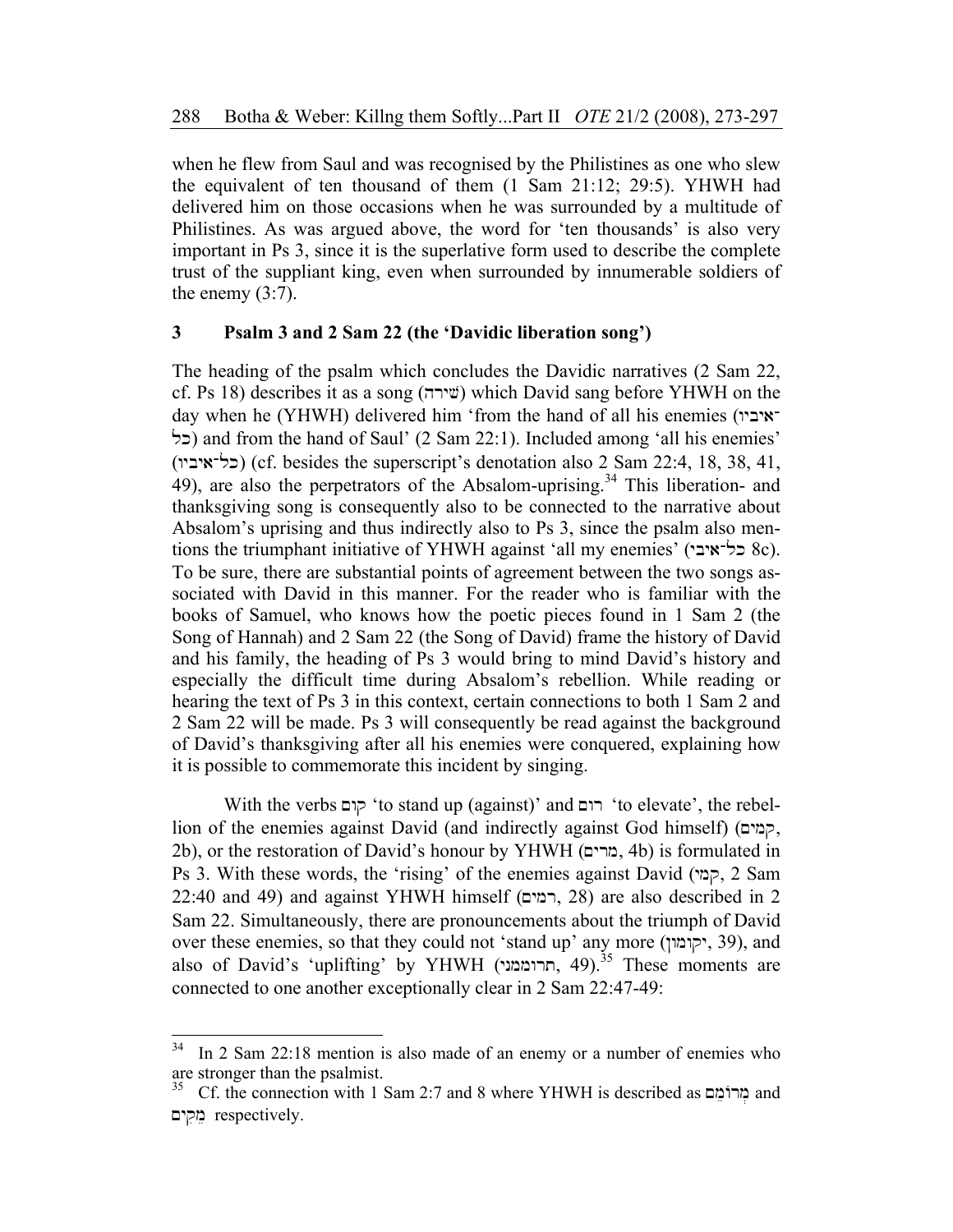when he flew from Saul and was recognised by the Philistines as one who slew the equivalent of ten thousand of them (1 Sam 21:12; 29:5). YHWH had delivered him on those occasions when he was surrounded by a multitude of Philistines. As was argued above, the word for 'ten thousands' is also very important in Ps 3, since it is the superlative form used to describe the complete trust of the suppliant king, even when surrounded by innumerable soldiers of the enemy  $(3:7)$ .

### **3 Psalm 3 and 2 Sam 22 (the 'Davidic liberation song')**

The heading of the psalm which concludes the Davidic narratives (2 Sam 22, cf. Ps 18) describes it as a song (שירה) which David sang before YHWH on the day when he (YHWH) delivered him 'from the hand of all his enemies ( $\gamma$ - $\gamma$ כל) and from the hand of Saul' (2 Sam 22:1). Included among 'all his enemies' (wybya-lk) (cf. besides the superscript's denotation also 2 Sam 22:4, 18, 38, 41, 49), are also the perpetrators of the Absalom-uprising.<sup>34</sup> This liberation- and thanksgiving song is consequently also to be connected to the narrative about Absalom's uprising and thus indirectly also to Ps 3, since the psalm also mentions the triumphant initiative of YHWH against 'all my enemies' (ל־איבי 8c). To be sure, there are substantial points of agreement between the two songs associated with David in this manner. For the reader who is familiar with the books of Samuel, who knows how the poetic pieces found in 1 Sam 2 (the Song of Hannah) and 2 Sam 22 (the Song of David) frame the history of David and his family, the heading of Ps 3 would bring to mind David's history and especially the difficult time during Absalom's rebellion. While reading or hearing the text of Ps 3 in this context, certain connections to both 1 Sam 2 and 2 Sam 22 will be made. Ps 3 will consequently be read against the background of David's thanksgiving after all his enemies were conquered, explaining how it is possible to commemorate this incident by singing.

With the verbs קום 'to stand up (against)' and רום 'to elevate', the rebellion of the enemies against David (and indirectly against God himself) (קמים, 2b), or the restoration of David's honour by YHWH (בורים, 4b) is formulated in Ps 3. With these words, the 'rising' of the enemies against David (ymq, 2 Sam  $22:40$  and 49) and against YHWH himself (רמים, 28) are also described in 2 Sam 22. Simultaneously, there are pronouncements about the triumph of David over these enemies, so that they could not 'stand up' any more (יקומון, 39), and also of David's 'uplifting' by YHWH (תרוממני, 49).<sup>35</sup> These moments are connected to one another exceptionally clear in 2 Sam 22:47-49:

 $\overline{a}$ 

 $34$  In 2 Sam 22:18 mention is also made of an enemy or a number of enemies who are stronger than the psalmist.

 $35$  Cf. the connection with 1 Sam 2:7 and 8 where YHWH is described as  $\frac{1}{25}$  and ~yqime respectively.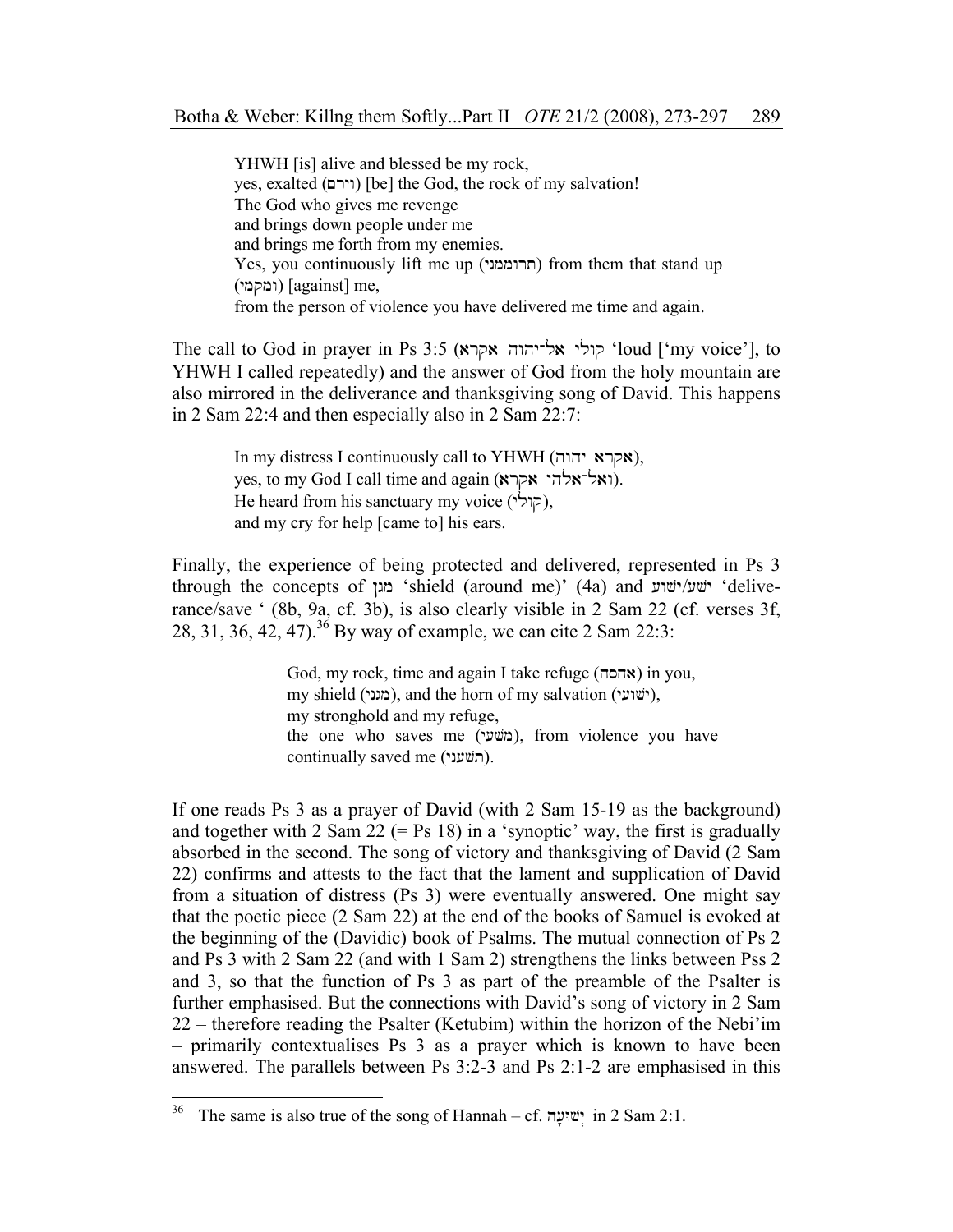YHWH [is] alive and blessed be my rock, yes, exalted (וירם) [be] the God, the rock of my salvation! The God who gives me revenge and brings down people under me and brings me forth from my enemies.  $Yes, you continuously lift me up (תרוממני) from them that stand up)$ (ymqmw) [against] me, from the person of violence you have delivered me time and again.

The call to God in prayer in Ps 3:5 (קולי אל־יהוה אקרא $\cdot$ loud ['my voice'], to YHWH I called repeatedly) and the answer of God from the holy mountain are also mirrored in the deliverance and thanksgiving song of David. This happens in 2 Sam 22:4 and then especially also in 2 Sam 22:7:

> In my distress I continuously call to YHWH (אקרא יהוה), yes, to my God I call time and again (ואל־אלהי אקרא). He heard from his sanctuary my voice (קולי), and my cry for help [came to] his ears.

Finally, the experience of being protected and delivered, represented in Ps 3 through the concepts of 'anield (around me)' (4a) and 'wvar' 'deliverance/save ' (8b, 9a, cf. 3b), is also clearly visible in 2 Sam 22 (cf. verses 3f, 28, 31, 36, 42, 47).36 By way of example, we can cite 2 Sam 22:3:

> $God, my rock, time and again I take refuse (א⊓ר) in you,$ my shield (מגני), and the horn of my salvation (ישׁועי), my stronghold and my refuge, the one who saves me (משׁעי), from violence you have continually saved me (חשׁעני).

If one reads Ps 3 as a prayer of David (with 2 Sam 15-19 as the background) and together with 2 Sam  $22$  (= Ps 18) in a 'synoptic' way, the first is gradually absorbed in the second. The song of victory and thanksgiving of David (2 Sam 22) confirms and attests to the fact that the lament and supplication of David from a situation of distress (Ps 3) were eventually answered. One might say that the poetic piece (2 Sam 22) at the end of the books of Samuel is evoked at the beginning of the (Davidic) book of Psalms. The mutual connection of Ps 2 and Ps 3 with 2 Sam 22 (and with 1 Sam 2) strengthens the links between Pss 2 and 3, so that the function of Ps 3 as part of the preamble of the Psalter is further emphasised. But the connections with David's song of victory in 2 Sam 22 – therefore reading the Psalter (Ketubim) within the horizon of the Nebi'im – primarily contextualises Ps 3 as a prayer which is known to have been answered. The parallels between Ps 3:2-3 and Ps 2:1-2 are emphasised in this

<sup>36</sup> The same is also true of the song of Hannah – cf. ישועה in 2 Sam 2:1.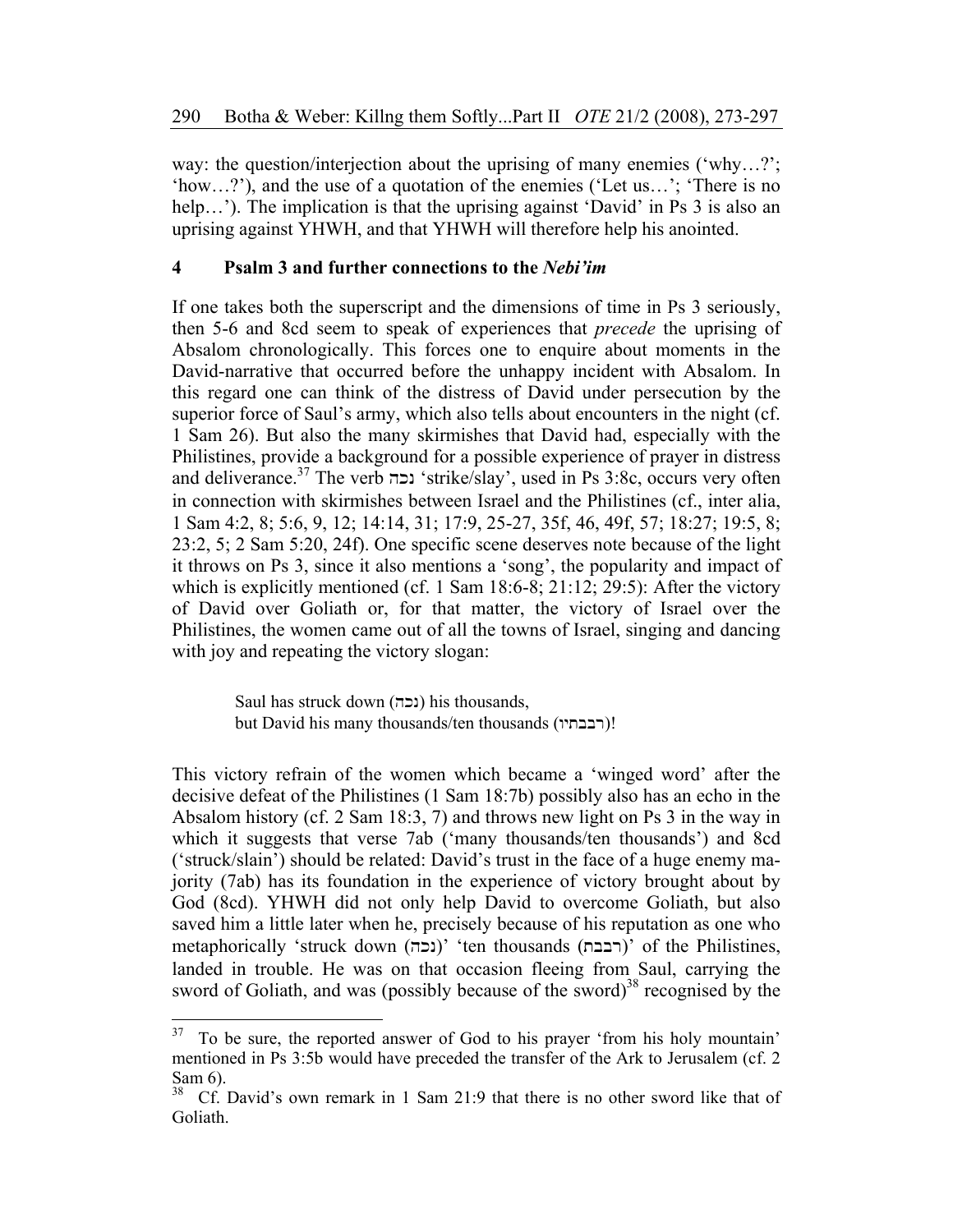way: the question/interjection about the uprising of many enemies ('why...?'; 'how…?'), and the use of a quotation of the enemies ('Let us…'; 'There is no help...'). The implication is that the uprising against 'David' in Ps 3 is also an uprising against YHWH, and that YHWH will therefore help his anointed.

## **4 Psalm 3 and further connections to the** *Nebi'im*

If one takes both the superscript and the dimensions of time in Ps 3 seriously, then 5-6 and 8cd seem to speak of experiences that *precede* the uprising of Absalom chronologically. This forces one to enquire about moments in the David-narrative that occurred before the unhappy incident with Absalom. In this regard one can think of the distress of David under persecution by the superior force of Saul's army, which also tells about encounters in the night (cf. 1 Sam 26). But also the many skirmishes that David had, especially with the Philistines, provide a background for a possible experience of prayer in distress and deliverance.<sup>37</sup> The verb 'strike/slay', used in Ps 3:8c, occurs very often in connection with skirmishes between Israel and the Philistines (cf., inter alia, 1 Sam 4:2, 8; 5:6, 9, 12; 14:14, 31; 17:9, 25-27, 35f, 46, 49f, 57; 18:27; 19:5, 8; 23:2, 5; 2 Sam 5:20, 24f). One specific scene deserves note because of the light it throws on Ps 3, since it also mentions a 'song', the popularity and impact of which is explicitly mentioned (cf. 1 Sam 18:6-8; 21:12; 29:5): After the victory of David over Goliath or, for that matter, the victory of Israel over the Philistines, the women came out of all the towns of Israel, singing and dancing with joy and repeating the victory slogan:

> Saul has struck down (נכה) his thousands, but David his many thousands/ten thousands (רבבתיו)!

This victory refrain of the women which became a 'winged word' after the decisive defeat of the Philistines (1 Sam 18:7b) possibly also has an echo in the Absalom history (cf. 2 Sam 18:3, 7) and throws new light on Ps 3 in the way in which it suggests that verse 7ab ('many thousands/ten thousands') and 8cd ('struck/slain') should be related: David's trust in the face of a huge enemy majority (7ab) has its foundation in the experience of victory brought about by God (8cd). YHWH did not only help David to overcome Goliath, but also saved him a little later when he, precisely because of his reputation as one who metaphorically 'struck down (רבבת)' 'ten thousands (רבבת)' of the Philistines, landed in trouble. He was on that occasion fleeing from Saul, carrying the sword of Goliath, and was (possibly because of the sword)<sup>38</sup> recognised by the

 $\overline{a}$ 

 $37$  To be sure, the reported answer of God to his prayer 'from his holy mountain' mentioned in Ps 3:5b would have preceded the transfer of the Ark to Jerusalem (cf. 2 Sam 6).<br> $38 \text{ }$  Cf.

<sup>38</sup> Cf. David's own remark in 1 Sam 21:9 that there is no other sword like that of Goliath.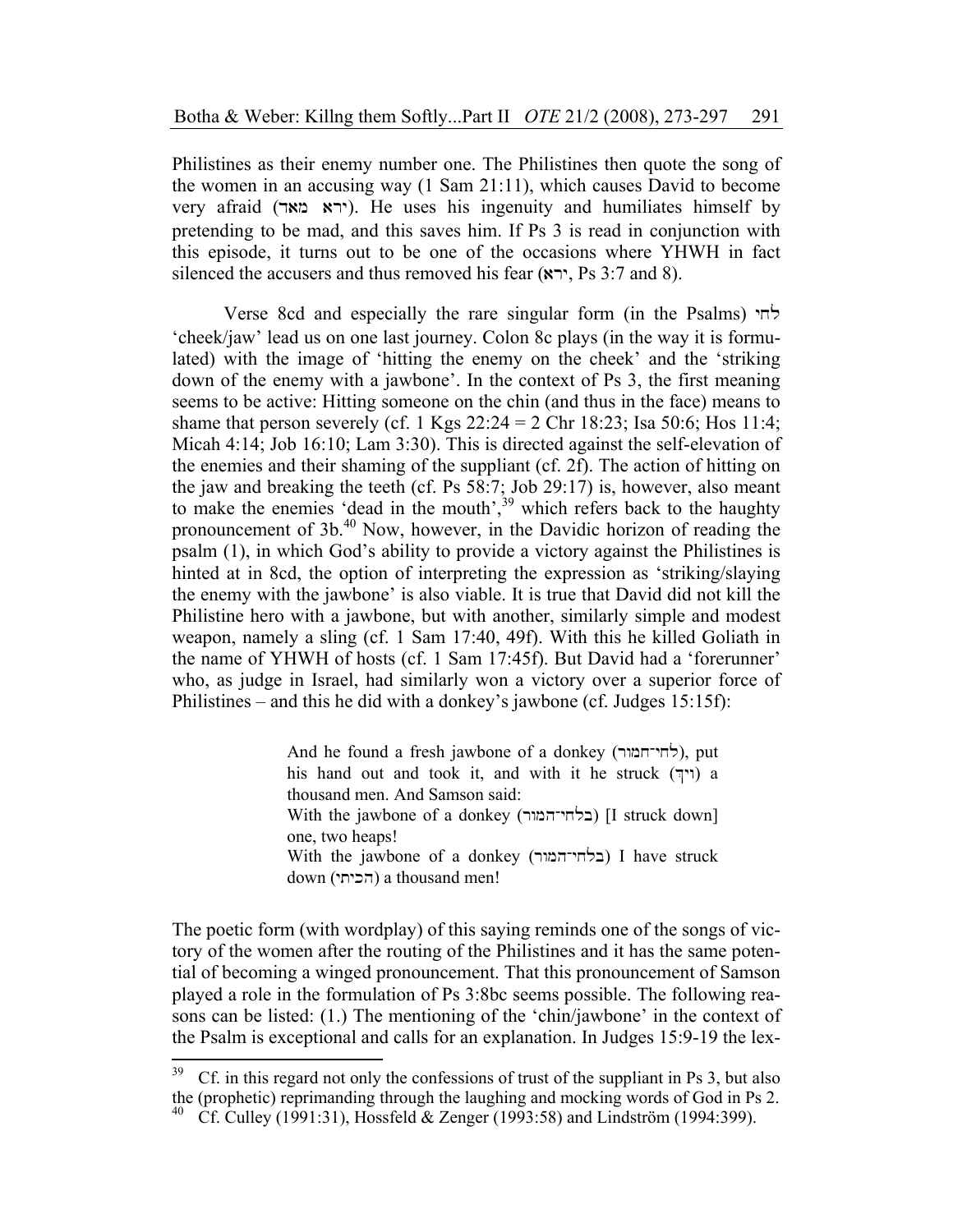Philistines as their enemy number one. The Philistines then quote the song of the women in an accusing way (1 Sam 21:11), which causes David to become very afraid (dam ary). He uses his ingenuity and humiliates himself by pretending to be mad, and this saves him. If Ps 3 is read in conjunction with this episode, it turns out to be one of the occasions where YHWH in fact silenced the accusers and thus removed his fear  $(\star \star \star \cdot \cdot \cdot)$ , Ps 3:7 and 8).

Verse 8cd and especially the rare singular form (in the Psalms)  $\forall$ 'cheek/jaw' lead us on one last journey. Colon 8c plays (in the way it is formulated) with the image of 'hitting the enemy on the cheek' and the 'striking down of the enemy with a jawbone'. In the context of Ps 3, the first meaning seems to be active: Hitting someone on the chin (and thus in the face) means to shame that person severely (cf. 1 Kgs  $22:24 = 2$  Chr 18:23; Isa 50:6; Hos 11:4; Micah 4:14; Job 16:10; Lam 3:30). This is directed against the self-elevation of the enemies and their shaming of the suppliant (cf. 2f). The action of hitting on the jaw and breaking the teeth (cf. Ps 58:7; Job 29:17) is, however, also meant to make the enemies 'dead in the mouth',  $39$  which refers back to the haughty pronouncement of 3b.<sup>40</sup> Now, however, in the Davidic horizon of reading the psalm (1), in which God's ability to provide a victory against the Philistines is hinted at in 8cd, the option of interpreting the expression as 'striking/slaying the enemy with the jawbone' is also viable. It is true that David did not kill the Philistine hero with a jawbone, but with another, similarly simple and modest weapon, namely a sling (cf. 1 Sam 17:40, 49f). With this he killed Goliath in the name of YHWH of hosts (cf. 1 Sam 17:45f). But David had a 'forerunner' who, as judge in Israel, had similarly won a victory over a superior force of Philistines – and this he did with a donkey's jawbone (cf. Judges 15:15f):

> And he found a fresh jawbone of a donkey (לחי־חמור), put his hand out and took it, and with it he struck  $(\gamma)$  a thousand men. And Samson said: With the jawbone of a donkey (בלחי־המור) [I struck down] one, two heaps! With the jawbone of a donkey (בלחי־המור) I have struck down (הכיתי) a thousand men!

The poetic form (with wordplay) of this saying reminds one of the songs of victory of the women after the routing of the Philistines and it has the same potential of becoming a winged pronouncement. That this pronouncement of Samson played a role in the formulation of Ps 3:8bc seems possible. The following reasons can be listed: (1.) The mentioning of the 'chin/jawbone' in the context of the Psalm is exceptional and calls for an explanation. In Judges 15:9-19 the lex-

<sup>39</sup> 39 Cf. in this regard not only the confessions of trust of the suppliant in Ps 3, but also the (prophetic) reprimanding through the laughing and mocking words of God in Ps 2.<br><sup>40</sup> Cf. Culley (1991:31), Hossfeld & Zenger (1993:58) and Lindström (1994:399).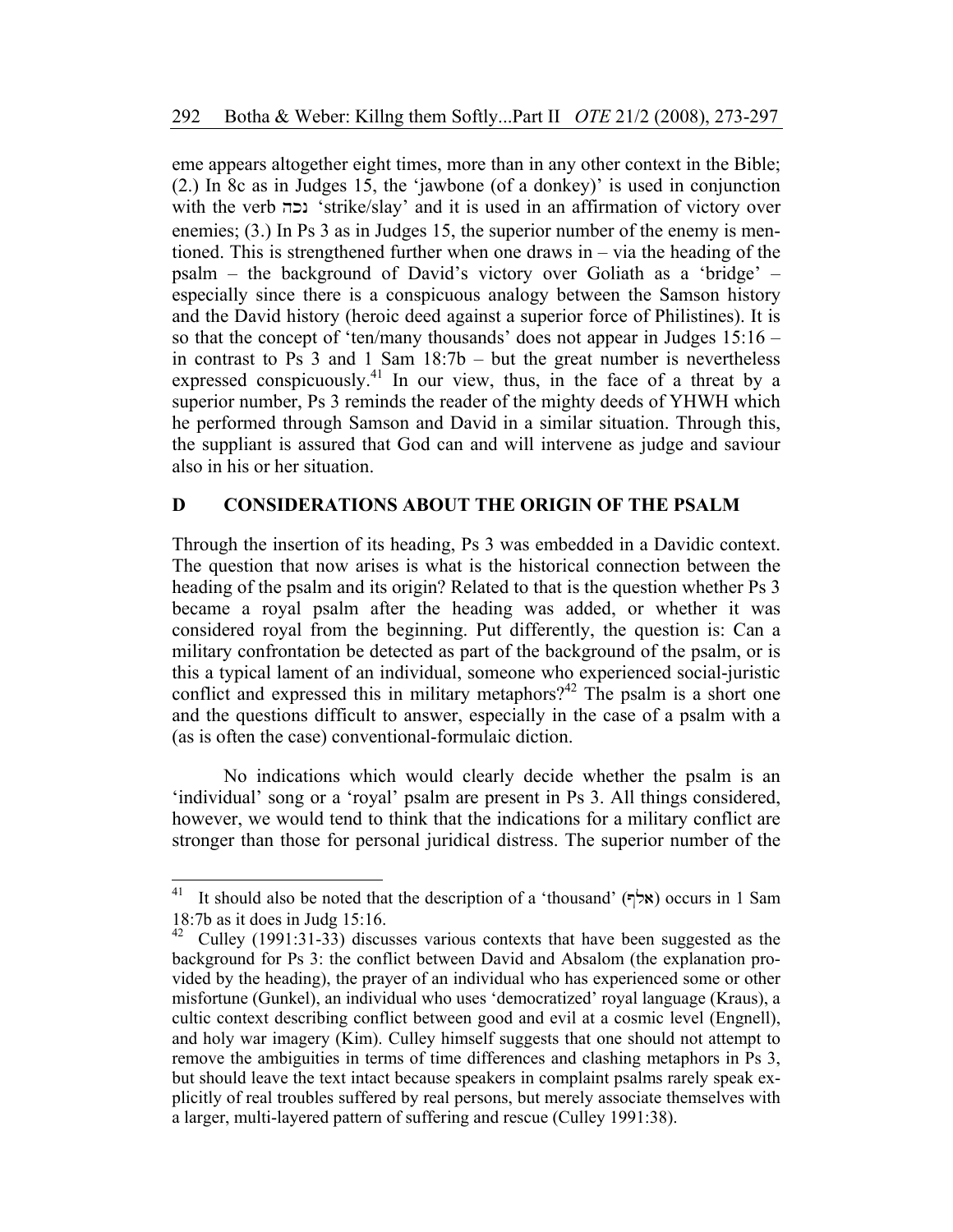eme appears altogether eight times, more than in any other context in the Bible; (2.) In 8c as in Judges 15, the 'jawbone (of a donkey)' is used in conjunction with the verb "strike/slay' and it is used in an affirmation of victory over enemies; (3.) In Ps 3 as in Judges 15, the superior number of the enemy is mentioned. This is strengthened further when one draws in – via the heading of the psalm – the background of David's victory over Goliath as a 'bridge' – especially since there is a conspicuous analogy between the Samson history and the David history (heroic deed against a superior force of Philistines). It is so that the concept of 'ten/many thousands' does not appear in Judges 15:16 – in contrast to Ps  $3$  and  $1$  Sam  $18:7b$  – but the great number is nevertheless expressed conspicuously.<sup>41</sup> In our view, thus, in the face of a threat by a superior number, Ps 3 reminds the reader of the mighty deeds of YHWH which he performed through Samson and David in a similar situation. Through this, the suppliant is assured that God can and will intervene as judge and saviour also in his or her situation.

# **D CONSIDERATIONS ABOUT THE ORIGIN OF THE PSALM**

Through the insertion of its heading, Ps 3 was embedded in a Davidic context. The question that now arises is what is the historical connection between the heading of the psalm and its origin? Related to that is the question whether Ps 3 became a royal psalm after the heading was added, or whether it was considered royal from the beginning. Put differently, the question is: Can a military confrontation be detected as part of the background of the psalm, or is this a typical lament of an individual, someone who experienced social-juristic conflict and expressed this in military metaphors?<sup>42</sup> The psalm is a short one and the questions difficult to answer, especially in the case of a psalm with a (as is often the case) conventional-formulaic diction.

No indications which would clearly decide whether the psalm is an 'individual' song or a 'royal' psalm are present in Ps 3. All things considered, however, we would tend to think that the indications for a military conflict are stronger than those for personal juridical distress. The superior number of the

<sup>41</sup>  $\mathbb{R}^n$  It should also be noted that the description of a 'thousand' ( $\forall \forall x$ ) occurs in 1 Sam 18:7b as it does in Judg 15:16.

<sup>&</sup>lt;sup>42</sup> Culley (1991:31-33) discusses various contexts that have been suggested as the background for Ps 3: the conflict between David and Absalom (the explanation provided by the heading), the prayer of an individual who has experienced some or other misfortune (Gunkel), an individual who uses 'democratized' royal language (Kraus), a cultic context describing conflict between good and evil at a cosmic level (Engnell), and holy war imagery (Kim). Culley himself suggests that one should not attempt to remove the ambiguities in terms of time differences and clashing metaphors in Ps 3, but should leave the text intact because speakers in complaint psalms rarely speak explicitly of real troubles suffered by real persons, but merely associate themselves with a larger, multi-layered pattern of suffering and rescue (Culley 1991:38).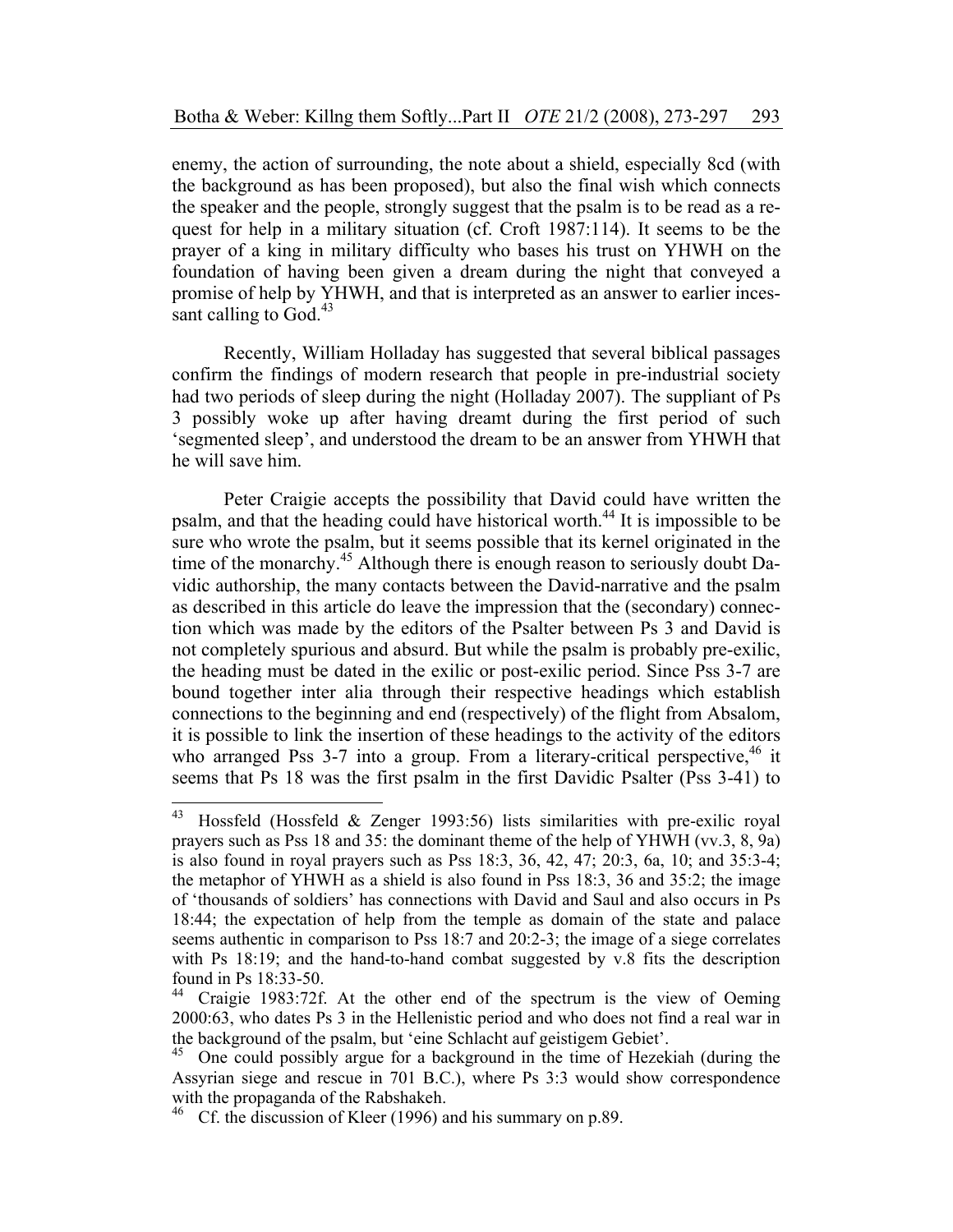enemy, the action of surrounding, the note about a shield, especially 8cd (with the background as has been proposed), but also the final wish which connects the speaker and the people, strongly suggest that the psalm is to be read as a request for help in a military situation (cf. Croft 1987:114). It seems to be the prayer of a king in military difficulty who bases his trust on YHWH on the foundation of having been given a dream during the night that conveyed a promise of help by YHWH, and that is interpreted as an answer to earlier incessant calling to God. $43$ 

Recently, William Holladay has suggested that several biblical passages confirm the findings of modern research that people in pre-industrial society had two periods of sleep during the night (Holladay 2007). The suppliant of Ps 3 possibly woke up after having dreamt during the first period of such 'segmented sleep', and understood the dream to be an answer from YHWH that he will save him.

Peter Craigie accepts the possibility that David could have written the psalm, and that the heading could have historical worth.44 It is impossible to be sure who wrote the psalm, but it seems possible that its kernel originated in the time of the monarchy.<sup>45</sup> Although there is enough reason to seriously doubt Davidic authorship, the many contacts between the David-narrative and the psalm as described in this article do leave the impression that the (secondary) connection which was made by the editors of the Psalter between Ps 3 and David is not completely spurious and absurd. But while the psalm is probably pre-exilic, the heading must be dated in the exilic or post-exilic period. Since Pss 3-7 are bound together inter alia through their respective headings which establish connections to the beginning and end (respectively) of the flight from Absalom, it is possible to link the insertion of these headings to the activity of the editors who arranged Pss 3-7 into a group. From a literary-critical perspective,  $46$  it seems that Ps 18 was the first psalm in the first Davidic Psalter (Pss 3-41) to

 $\overline{a}$ 

<sup>&</sup>lt;sup>43</sup> Hossfeld (Hossfeld & Zenger 1993:56) lists similarities with pre-exilic royal prayers such as Pss 18 and 35: the dominant theme of the help of YHWH (vv.3, 8, 9a) is also found in royal prayers such as Pss 18:3, 36, 42, 47; 20:3, 6a, 10; and 35:3-4; the metaphor of YHWH as a shield is also found in Pss 18:3, 36 and 35:2; the image of 'thousands of soldiers' has connections with David and Saul and also occurs in Ps 18:44; the expectation of help from the temple as domain of the state and palace seems authentic in comparison to Pss 18:7 and 20:2-3; the image of a siege correlates with Ps 18:19; and the hand-to-hand combat suggested by v.8 fits the description found in Ps 18:33-50.<br><sup>44</sup> Craigie 1983:72f

Craigie 1983:72f. At the other end of the spectrum is the view of Oeming 2000:63, who dates Ps 3 in the Hellenistic period and who does not find a real war in the background of the psalm, but 'eine Schlacht auf geistigem Gebiet'. 45 One could possibly argue for a background in the time of Hezekiah (during the

Assyrian siege and rescue in 701 B.C.), where Ps 3:3 would show correspondence with the propaganda of the Rabshakeh.

<sup>&</sup>lt;sup>46</sup> Cf. the discussion of Kleer (1996) and his summary on p.89.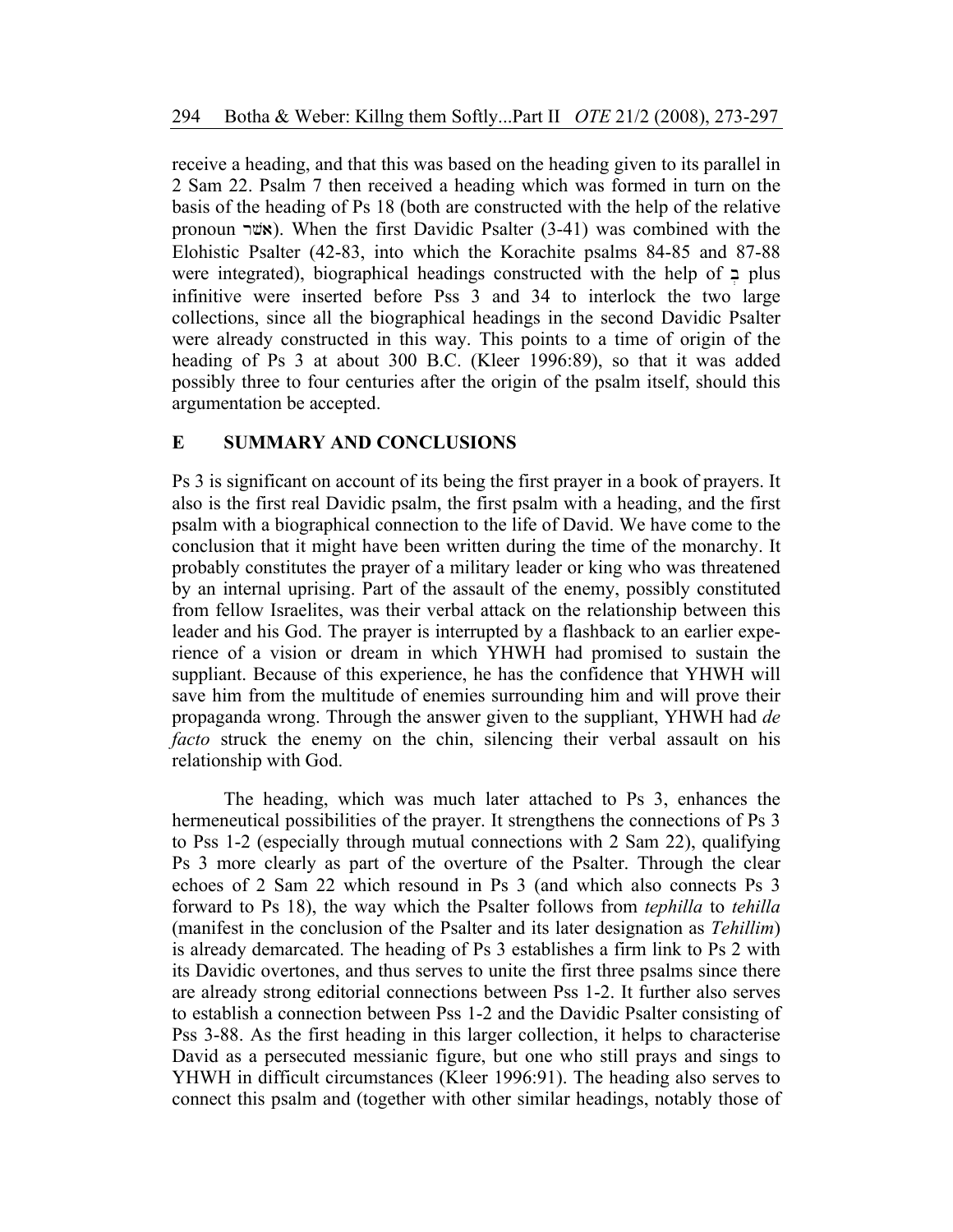receive a heading, and that this was based on the heading given to its parallel in 2 Sam 22. Psalm 7 then received a heading which was formed in turn on the basis of the heading of Ps 18 (both are constructed with the help of the relative pronoun  $\nu$ **x**). When the first Davidic Psalter (3-41) was combined with the Elohistic Psalter (42-83, into which the Korachite psalms 84-85 and 87-88 were integrated), biographical headings constructed with the help of  $\overline{P}$  plus infinitive were inserted before Pss 3 and 34 to interlock the two large collections, since all the biographical headings in the second Davidic Psalter were already constructed in this way. This points to a time of origin of the heading of Ps 3 at about 300 B.C. (Kleer 1996:89), so that it was added possibly three to four centuries after the origin of the psalm itself, should this argumentation be accepted.

### **E SUMMARY AND CONCLUSIONS**

Ps 3 is significant on account of its being the first prayer in a book of prayers. It also is the first real Davidic psalm, the first psalm with a heading, and the first psalm with a biographical connection to the life of David. We have come to the conclusion that it might have been written during the time of the monarchy. It probably constitutes the prayer of a military leader or king who was threatened by an internal uprising. Part of the assault of the enemy, possibly constituted from fellow Israelites, was their verbal attack on the relationship between this leader and his God. The prayer is interrupted by a flashback to an earlier experience of a vision or dream in which YHWH had promised to sustain the suppliant. Because of this experience, he has the confidence that YHWH will save him from the multitude of enemies surrounding him and will prove their propaganda wrong. Through the answer given to the suppliant, YHWH had *de facto* struck the enemy on the chin, silencing their verbal assault on his relationship with God.

 The heading, which was much later attached to Ps 3, enhances the hermeneutical possibilities of the prayer. It strengthens the connections of Ps 3 to Pss 1-2 (especially through mutual connections with 2 Sam 22), qualifying Ps 3 more clearly as part of the overture of the Psalter. Through the clear echoes of 2 Sam 22 which resound in Ps 3 (and which also connects Ps 3 forward to Ps 18), the way which the Psalter follows from *tephilla* to *tehilla* (manifest in the conclusion of the Psalter and its later designation as *Tehillim*) is already demarcated. The heading of Ps 3 establishes a firm link to Ps 2 with its Davidic overtones, and thus serves to unite the first three psalms since there are already strong editorial connections between Pss 1-2. It further also serves to establish a connection between Pss 1-2 and the Davidic Psalter consisting of Pss 3-88. As the first heading in this larger collection, it helps to characterise David as a persecuted messianic figure, but one who still prays and sings to YHWH in difficult circumstances (Kleer 1996:91). The heading also serves to connect this psalm and (together with other similar headings, notably those of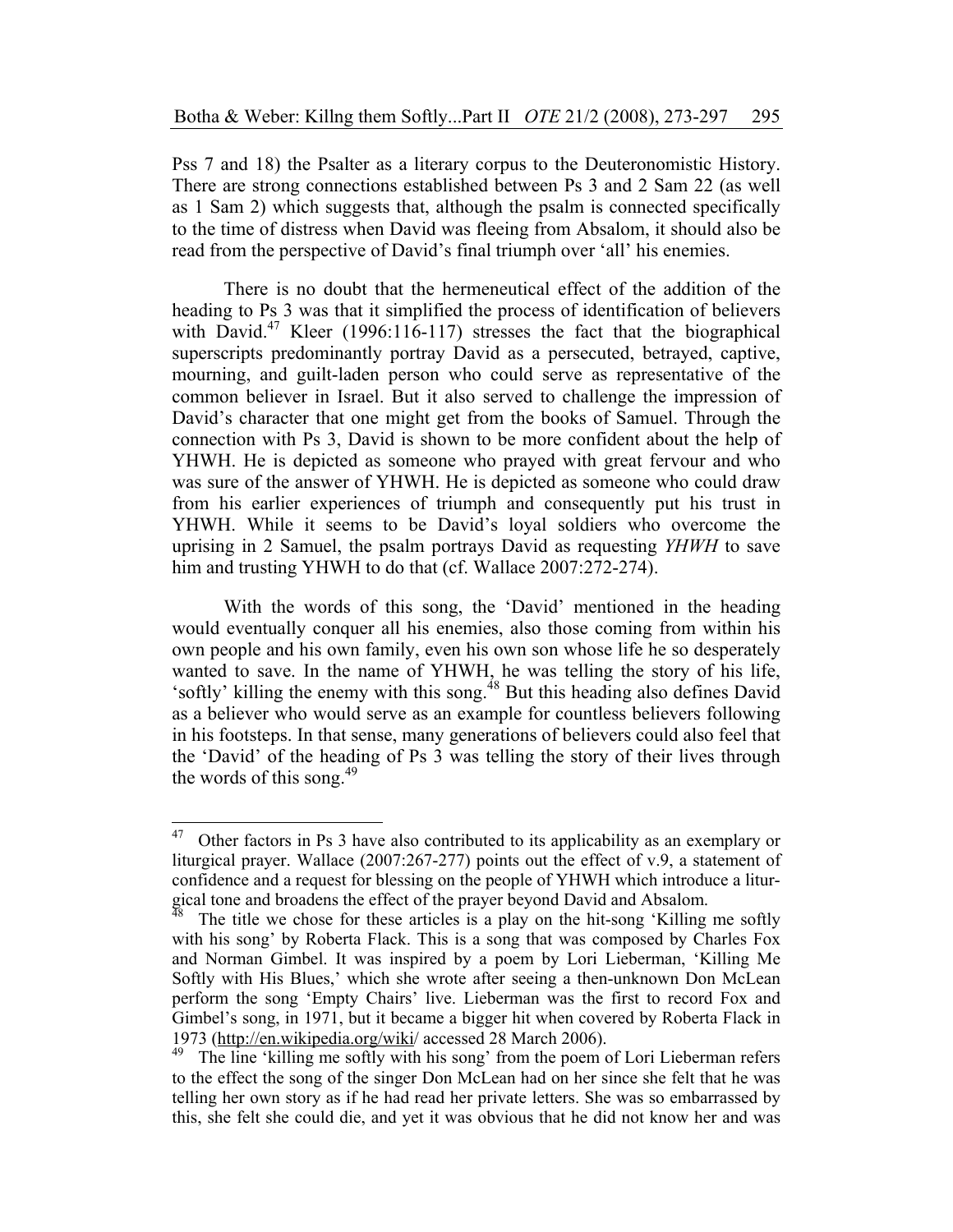Pss 7 and 18) the Psalter as a literary corpus to the Deuteronomistic History. There are strong connections established between Ps 3 and 2 Sam 22 (as well as 1 Sam 2) which suggests that, although the psalm is connected specifically to the time of distress when David was fleeing from Absalom, it should also be read from the perspective of David's final triumph over 'all' his enemies.

There is no doubt that the hermeneutical effect of the addition of the heading to Ps 3 was that it simplified the process of identification of believers with David.<sup>47</sup> Kleer (1996:116-117) stresses the fact that the biographical superscripts predominantly portray David as a persecuted, betrayed, captive, mourning, and guilt-laden person who could serve as representative of the common believer in Israel. But it also served to challenge the impression of David's character that one might get from the books of Samuel. Through the connection with Ps 3, David is shown to be more confident about the help of YHWH. He is depicted as someone who prayed with great fervour and who was sure of the answer of YHWH. He is depicted as someone who could draw from his earlier experiences of triumph and consequently put his trust in YHWH. While it seems to be David's loyal soldiers who overcome the uprising in 2 Samuel, the psalm portrays David as requesting *YHWH* to save him and trusting YHWH to do that (cf. Wallace 2007:272-274).

With the words of this song, the 'David' mentioned in the heading would eventually conquer all his enemies, also those coming from within his own people and his own family, even his own son whose life he so desperately wanted to save. In the name of YHWH, he was telling the story of his life, 'softly' killing the enemy with this song.48 But this heading also defines David as a believer who would serve as an example for countless believers following in his footsteps. In that sense, many generations of believers could also feel that the 'David' of the heading of Ps 3 was telling the story of their lives through the words of this song. $49$ 

<sup>47</sup> 47 Other factors in Ps 3 have also contributed to its applicability as an exemplary or liturgical prayer. Wallace (2007:267-277) points out the effect of v.9, a statement of confidence and a request for blessing on the people of YHWH which introduce a liturgical tone and broadens the effect of the prayer beyond David and Absalom.<br><sup>48</sup> The title we chose for these articles is a play on the hit-song 'Killing me softly

with his song' by Roberta Flack. This is a song that was composed by Charles Fox and Norman Gimbel. It was inspired by a poem by Lori Lieberman, 'Killing Me Softly with His Blues,' which she wrote after seeing a then-unknown Don McLean perform the song 'Empty Chairs' live. Lieberman was the first to record Fox and Gimbel's song, in 1971, but it became a bigger hit when covered by Roberta Flack in 1973 (http://en.wikipedia.org/wiki/ accessed 28 March 2006).

<sup>&</sup>lt;sup>49</sup> The line 'killing me softly with his song' from the poem of Lori Lieberman refers to the effect the song of the singer Don McLean had on her since she felt that he was telling her own story as if he had read her private letters. She was so embarrassed by this, she felt she could die, and yet it was obvious that he did not know her and was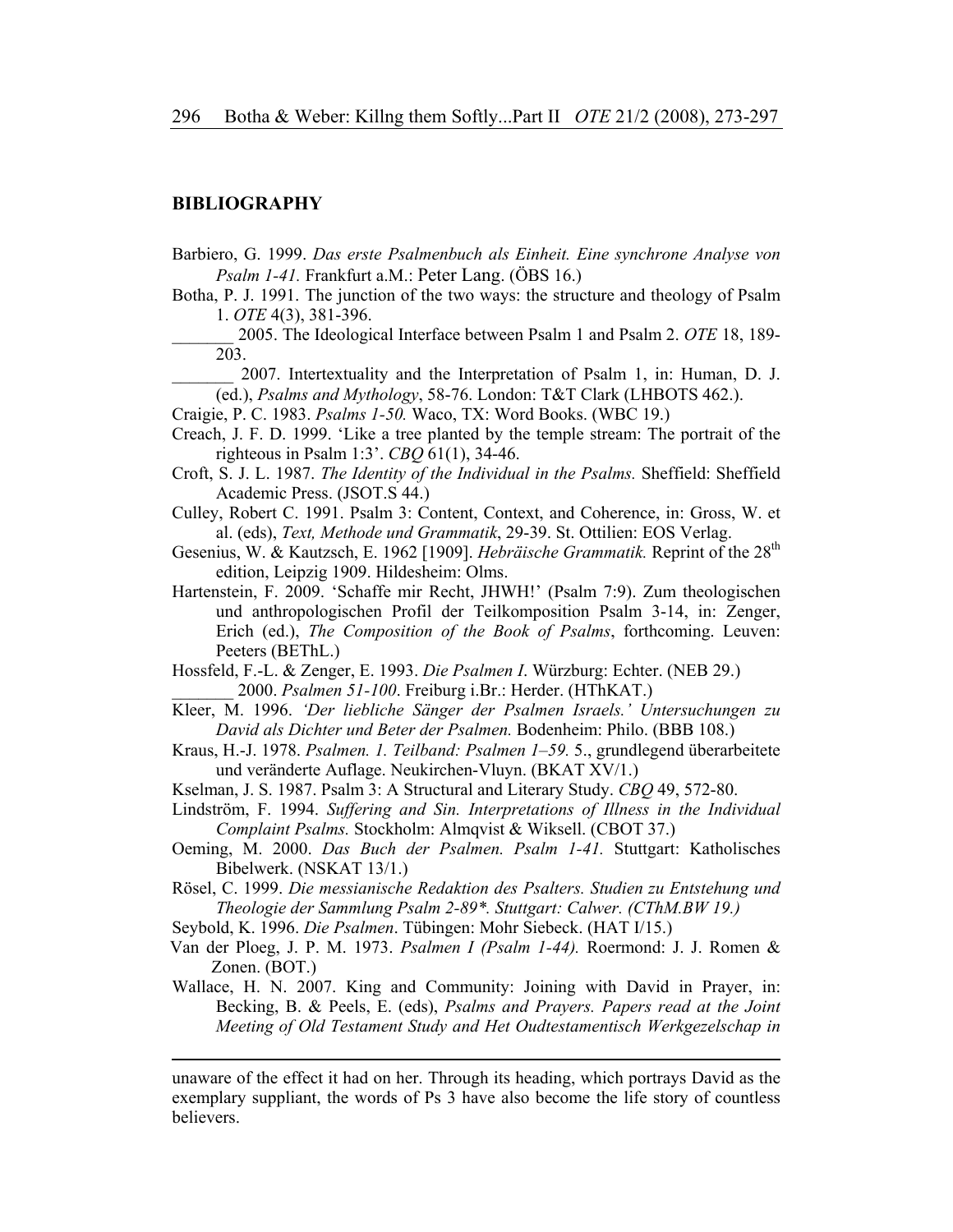### **BIBLIOGRAPHY**

-

- Barbiero, G. 1999. *Das erste Psalmenbuch als Einheit. Eine synchrone Analyse von Psalm 1-41.* Frankfurt a.M.: Peter Lang. (ÖBS 16.)
- Botha, P. J. 1991. The junction of the two ways: the structure and theology of Psalm 1. *OTE* 4(3), 381-396.
- \_\_\_\_\_\_\_ 2005. The Ideological Interface between Psalm 1 and Psalm 2. *OTE* 18, 189- 203.

\_\_\_\_\_\_\_ 2007. Intertextuality and the Interpretation of Psalm 1, in: Human, D. J. (ed.), *Psalms and Mythology*, 58-76. London: T&T Clark (LHBOTS 462.).

Craigie, P. C. 1983. *Psalms 1-50.* Waco, TX: Word Books. (WBC 19.)

- Creach, J. F. D. 1999. 'Like a tree planted by the temple stream: The portrait of the righteous in Psalm 1:3'. *CBQ* 61(1), 34-46.
- Croft, S. J. L. 1987. *The Identity of the Individual in the Psalms.* Sheffield: Sheffield Academic Press. (JSOT.S 44.)
- Culley, Robert C. 1991. Psalm 3: Content, Context, and Coherence, in: Gross, W. et al. (eds), *Text, Methode und Grammatik*, 29-39. St. Ottilien: EOS Verlag.
- Gesenius, W. & Kautzsch, E. 1962 [1909]. *Hebräische Grammatik*. Reprint of the 28<sup>th</sup> edition, Leipzig 1909. Hildesheim: Olms.
- Hartenstein, F. 2009. 'Schaffe mir Recht, JHWH!' (Psalm 7:9). Zum theologischen und anthropologischen Profil der Teilkomposition Psalm 3-14, in: Zenger, Erich (ed.), *The Composition of the Book of Psalms*, forthcoming. Leuven: Peeters (BEThL.)
- Hossfeld, F.-L. & Zenger, E. 1993. *Die Psalmen I*. Würzburg: Echter. (NEB 29.) \_\_\_\_\_\_\_ 2000. *Psalmen 51-100*. Freiburg i.Br.: Herder. (HThKAT.)
- Kleer, M. 1996. *'Der liebliche Sänger der Psalmen Israels.' Untersuchungen zu David als Dichter und Beter der Psalmen.* Bodenheim: Philo. (BBB 108.)
- Kraus, H.-J. 1978. *Psalmen. 1. Teilband: Psalmen 1–59.* 5., grundlegend überarbeitete und veränderte Auflage. Neukirchen-Vluyn. (BKAT XV/1.)
- Kselman, J. S. 1987. Psalm 3: A Structural and Literary Study. *CBQ* 49, 572-80.
- Lindström, F. 1994. *Suffering and Sin. Interpretations of Illness in the Individual Complaint Psalms.* Stockholm: Almqvist & Wiksell. (CBOT 37.)
- Oeming, M. 2000. *Das Buch der Psalmen. Psalm 1-41.* Stuttgart: Katholisches Bibelwerk. (NSKAT 13/1.)
- Rösel, C. 1999. *Die messianische Redaktion des Psalters. Studien zu Entstehung und Theologie der Sammlung Psalm 2-89\*. Stuttgart: Calwer. (CThM.BW 19.)*
- Seybold, K. 1996. *Die Psalmen*. Tübingen: Mohr Siebeck. (HAT I/15.)
- Van der Ploeg, J. P. M. 1973. *Psalmen I (Psalm 1-44).* Roermond: J. J. Romen & Zonen. (BOT.)
- Wallace, H. N. 2007. King and Community: Joining with David in Prayer, in: Becking, B. & Peels, E. (eds), *Psalms and Prayers. Papers read at the Joint Meeting of Old Testament Study and Het Oudtestamentisch Werkgezelschap in*

unaware of the effect it had on her. Through its heading, which portrays David as the exemplary suppliant, the words of Ps 3 have also become the life story of countless believers.